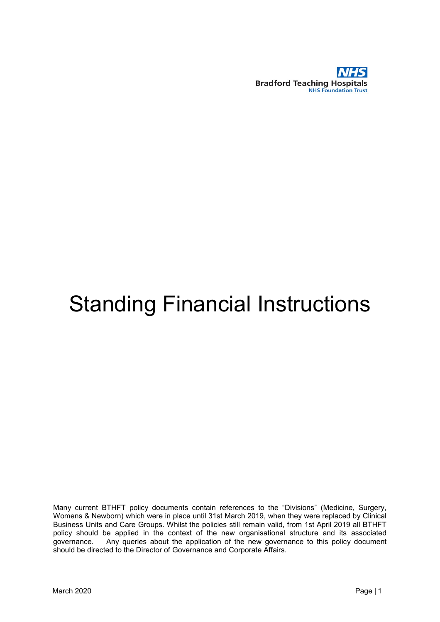

# Standing Financial Instructions

Many current BTHFT policy documents contain references to the "Divisions" (Medicine, Surgery, Womens & Newborn) which were in place until 31st March 2019, when they were replaced by Clinical Business Units and Care Groups. Whilst the policies still remain valid, from 1st April 2019 all BTHFT policy should be applied in the context of the new organisational structure and its associated governance. Any queries about the application of the new governance to this policy document should be directed to the Director of Governance and Corporate Affairs.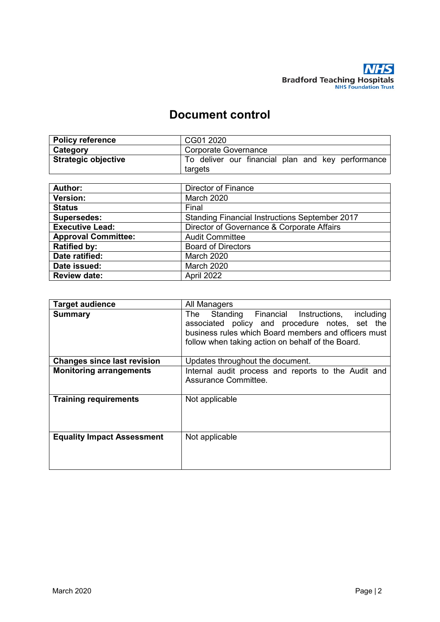

# **Document control**

| <b>Policy reference</b>    | CG01 2020                                                    |
|----------------------------|--------------------------------------------------------------|
| Category                   | Corporate Governance                                         |
| <b>Strategic objective</b> | To deliver our financial plan and key performance<br>targets |
|                            |                                                              |

| Author:                    | <b>Director of Finance</b>                            |
|----------------------------|-------------------------------------------------------|
| Version:                   | <b>March 2020</b>                                     |
| <b>Status</b>              | Final                                                 |
| <b>Supersedes:</b>         | <b>Standing Financial Instructions September 2017</b> |
| <b>Executive Lead:</b>     | Director of Governance & Corporate Affairs            |
| <b>Approval Committee:</b> | <b>Audit Committee</b>                                |
| <b>Ratified by:</b>        | <b>Board of Directors</b>                             |
| Date ratified:             | <b>March 2020</b>                                     |
| Date issued:               | <b>March 2020</b>                                     |
| <b>Review date:</b>        | April 2022                                            |

| <b>Target audience</b>             | All Managers                                                                                                                                                                                                     |
|------------------------------------|------------------------------------------------------------------------------------------------------------------------------------------------------------------------------------------------------------------|
| <b>Summary</b>                     | The Standing Financial Instructions,<br>including<br>associated policy and procedure notes, set the<br>business rules which Board members and officers must<br>follow when taking action on behalf of the Board. |
| <b>Changes since last revision</b> | Updates throughout the document.                                                                                                                                                                                 |
| <b>Monitoring arrangements</b>     | Internal audit process and reports to the Audit and<br>Assurance Committee.                                                                                                                                      |
| <b>Training requirements</b>       | Not applicable                                                                                                                                                                                                   |
| <b>Equality Impact Assessment</b>  | Not applicable                                                                                                                                                                                                   |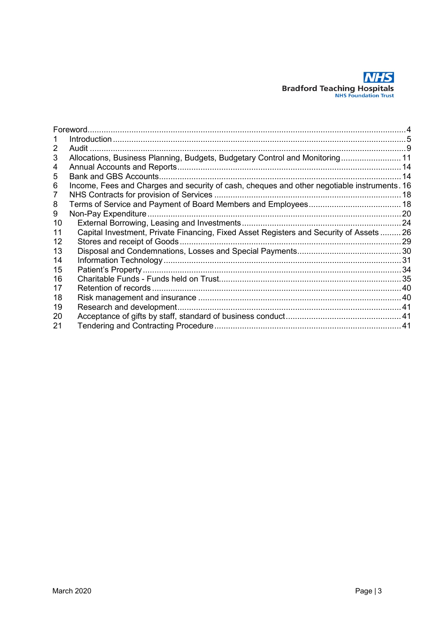

|    | Foreword.                                                                                   |     |
|----|---------------------------------------------------------------------------------------------|-----|
|    |                                                                                             |     |
| 2  | . Audit                                                                                     |     |
| 3  | Allocations, Business Planning, Budgets, Budgetary Control and Monitoring 11                |     |
| 4  |                                                                                             |     |
| 5  | Bank and GBS Accounts                                                                       | 14  |
| 6  | Income, Fees and Charges and security of cash, cheques and other negotiable instruments. 16 |     |
|    |                                                                                             |     |
| 8  |                                                                                             |     |
| 9  | Non-Pay Expenditure.                                                                        | .20 |
| 10 |                                                                                             |     |
| 11 | Capital Investment, Private Financing, Fixed Asset Registers and Security of Assets  26     |     |
| 12 | Stores and receipt of Goods                                                                 |     |
| 13 |                                                                                             |     |
| 14 |                                                                                             |     |
| 15 |                                                                                             |     |
| 16 |                                                                                             |     |
| 17 |                                                                                             |     |
| 18 |                                                                                             |     |
| 19 | Research and development.                                                                   |     |
| 20 |                                                                                             |     |
| 21 |                                                                                             |     |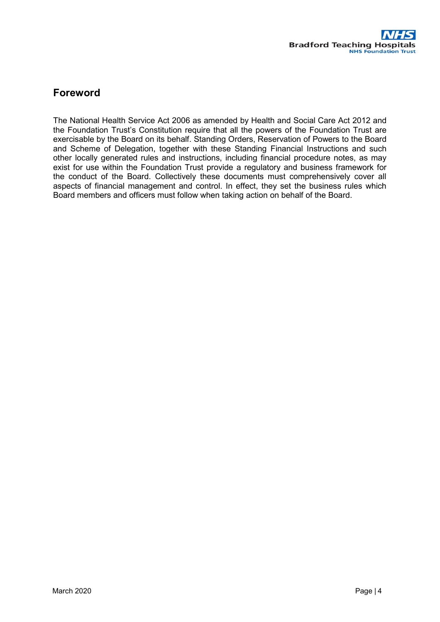# <span id="page-3-0"></span>**Foreword**

The National Health Service Act 2006 as amended by Health and Social Care Act 2012 and the Foundation Trust's Constitution require that all the powers of the Foundation Trust are exercisable by the Board on its behalf. Standing Orders, Reservation of Powers to the Board and Scheme of Delegation, together with these Standing Financial Instructions and such other locally generated rules and instructions, including financial procedure notes, as may exist for use within the Foundation Trust provide a regulatory and business framework for the conduct of the Board. Collectively these documents must comprehensively cover all aspects of financial management and control. In effect, they set the business rules which Board members and officers must follow when taking action on behalf of the Board.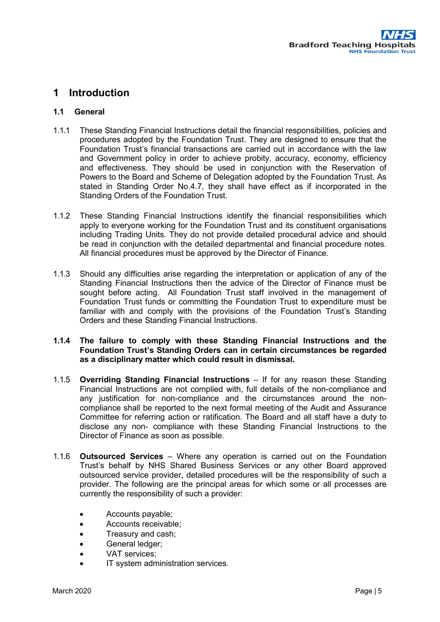## <span id="page-4-0"></span>**1 Introduction**

#### **1.1 General**

- 1.1.1 These Standing Financial Instructions detail the financial responsibilities, policies and procedures adopted by the Foundation Trust. They are designed to ensure that the Foundation Trust's financial transactions are carried out in accordance with the law and Government policy in order to achieve probity, accuracy, economy, efficiency and effectiveness. They should be used in conjunction with the Reservation of Powers to the Board and Scheme of Delegation adopted by the Foundation Trust. As stated in Standing Order No.4.7, they shall have effect as if incorporated in the Standing Orders of the Foundation Trust.
- 1.1.2 These Standing Financial Instructions identify the financial responsibilities which apply to everyone working for the Foundation Trust and its constituent organisations including Trading Units. They do not provide detailed procedural advice and should be read in conjunction with the detailed departmental and financial procedure notes. All financial procedures must be approved by the Director of Finance.
- 1.1.3 Should any difficulties arise regarding the interpretation or application of any of the Standing Financial Instructions then the advice of the Director of Finance must be sought before acting. All Foundation Trust staff involved in the management of Foundation Trust funds or committing the Foundation Trust to expenditure must be familiar with and comply with the provisions of the Foundation Trust's Standing Orders and these Standing Financial Instructions.

#### **1.1.4 The failure to comply with these Standing Financial Instructions and the Foundation Trust's Standing Orders can in certain circumstances be regarded as a disciplinary matter which could result in dismissal.**

- 1.1.5 **Overriding Standing Financial Instructions** If for any reason these Standing Financial Instructions are not complied with, full details of the non-compliance and any justification for non-compliance and the circumstances around the noncompliance shall be reported to the next formal meeting of the Audit and Assurance Committee for referring action or ratification. The Board and all staff have a duty to disclose any non- compliance with these Standing Financial Instructions to the Director of Finance as soon as possible.
- 1.1.6 **Outsourced Services** Where any operation is carried out on the Foundation Trust's behalf by NHS Shared Business Services or any other Board approved outsourced service provider, detailed procedures will be the responsibility of such a provider. The following are the principal areas for which some or all processes are currently the responsibility of such a provider:
	- Accounts payable;
	- Accounts receivable;
	- Treasury and cash;
	- General ledger;
	- VAT services;
	- IT system administration services.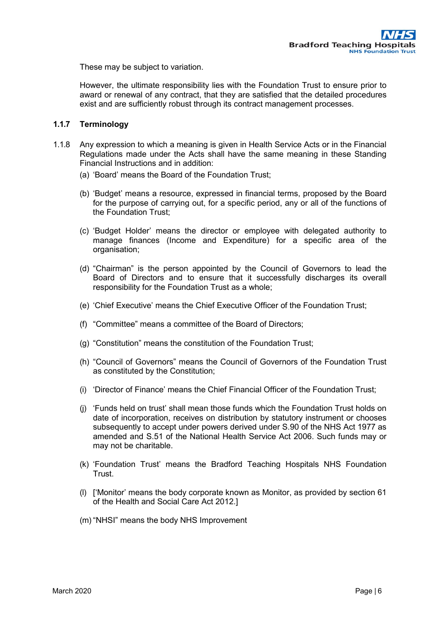These may be subject to variation.

However, the ultimate responsibility lies with the Foundation Trust to ensure prior to award or renewal of any contract, that they are satisfied that the detailed procedures exist and are sufficiently robust through its contract management processes.

#### **1.1.7 Terminology**

- 1.1.8 Any expression to which a meaning is given in Health Service Acts or in the Financial Regulations made under the Acts shall have the same meaning in these Standing Financial Instructions and in addition:
	- (a) 'Board' means the Board of the Foundation Trust;
	- (b) 'Budget' means a resource, expressed in financial terms, proposed by the Board for the purpose of carrying out, for a specific period, any or all of the functions of the Foundation Trust;
	- (c) 'Budget Holder' means the director or employee with delegated authority to manage finances (Income and Expenditure) for a specific area of the organisation;
	- (d) "Chairman" is the person appointed by the Council of Governors to lead the Board of Directors and to ensure that it successfully discharges its overall responsibility for the Foundation Trust as a whole;
	- (e) 'Chief Executive' means the Chief Executive Officer of the Foundation Trust;
	- (f) "Committee" means a committee of the Board of Directors;
	- (g) "Constitution" means the constitution of the Foundation Trust;
	- (h) "Council of Governors" means the Council of Governors of the Foundation Trust as constituted by the Constitution;
	- (i) 'Director of Finance' means the Chief Financial Officer of the Foundation Trust;
	- (j) 'Funds held on trust' shall mean those funds which the Foundation Trust holds on date of incorporation, receives on distribution by statutory instrument or chooses subsequently to accept under powers derived under S.90 of the NHS Act 1977 as amended and S.51 of the National Health Service Act 2006. Such funds may or may not be charitable.
	- (k) 'Foundation Trust' means the Bradford Teaching Hospitals NHS Foundation Trust.
	- (l) ['Monitor' means the body corporate known as Monitor, as provided by section 61 of the Health and Social Care Act 2012.]
	- (m) "NHSI" means the body NHS Improvement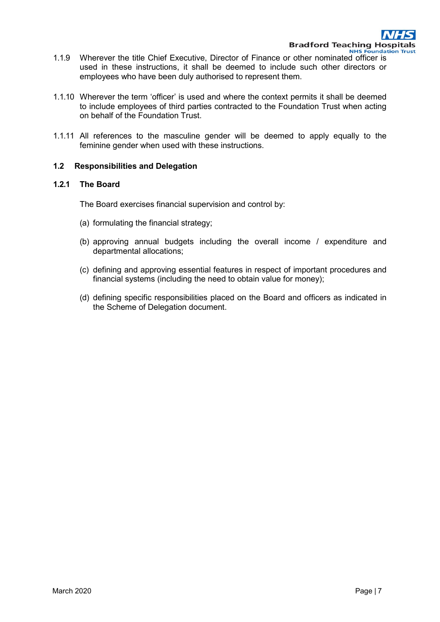- 1.1.9 Wherever the title Chief Executive, Director of Finance or other nominated officer is used in these instructions, it shall be deemed to include such other directors or employees who have been duly authorised to represent them.
- 1.1.10 Wherever the term 'officer' is used and where the context permits it shall be deemed to include employees of third parties contracted to the Foundation Trust when acting on behalf of the Foundation Trust.
- 1.1.11 All references to the masculine gender will be deemed to apply equally to the feminine gender when used with these instructions.

#### **1.2 Responsibilities and Delegation**

#### **1.2.1 The Board**

The Board exercises financial supervision and control by:

- (a) formulating the financial strategy;
- (b) approving annual budgets including the overall income / expenditure and departmental allocations;
- (c) defining and approving essential features in respect of important procedures and financial systems (including the need to obtain value for money);
- (d) defining specific responsibilities placed on the Board and officers as indicated in the Scheme of Delegation document.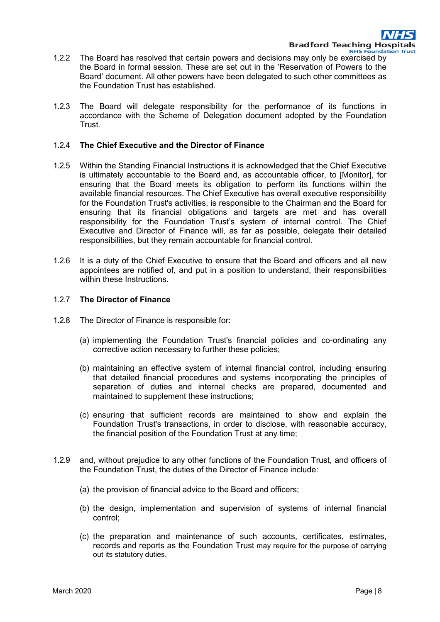- 1.2.2 The Board has resolved that certain powers and decisions may only be exercised by the Board in formal session. These are set out in the 'Reservation of Powers to the Board' document. All other powers have been delegated to such other committees as the Foundation Trust has established.
- 1.2.3 The Board will delegate responsibility for the performance of its functions in accordance with the Scheme of Delegation document adopted by the Foundation Trust.

#### 1.2.4 **The Chief Executive and the Director of Finance**

- 1.2.5 Within the Standing Financial Instructions it is acknowledged that the Chief Executive is ultimately accountable to the Board and, as accountable officer, to [Monitor], for ensuring that the Board meets its obligation to perform its functions within the available financial resources. The Chief Executive has overall executive responsibility for the Foundation Trust's activities, is responsible to the Chairman and the Board for ensuring that its financial obligations and targets are met and has overall responsibility for the Foundation Trust's system of internal control. The Chief Executive and Director of Finance will, as far as possible, delegate their detailed responsibilities, but they remain accountable for financial control.
- 1.2.6 It is a duty of the Chief Executive to ensure that the Board and officers and all new appointees are notified of, and put in a position to understand, their responsibilities within these Instructions.

#### 1.2.7 **The Director of Finance**

- 1.2.8 The Director of Finance is responsible for:
	- (a) implementing the Foundation Trust's financial policies and co-ordinating any corrective action necessary to further these policies;
	- (b) maintaining an effective system of internal financial control, including ensuring that detailed financial procedures and systems incorporating the principles of separation of duties and internal checks are prepared, documented and maintained to supplement these instructions;
	- (c) ensuring that sufficient records are maintained to show and explain the Foundation Trust's transactions, in order to disclose, with reasonable accuracy, the financial position of the Foundation Trust at any time;
- 1.2.9 and, without prejudice to any other functions of the Foundation Trust, and officers of the Foundation Trust, the duties of the Director of Finance include:
	- (a) the provision of financial advice to the Board and officers;
	- (b) the design, implementation and supervision of systems of internal financial control;
	- (c) the preparation and maintenance of such accounts, certificates, estimates, records and reports as the Foundation Trust may require for the purpose of carrying out its statutory duties.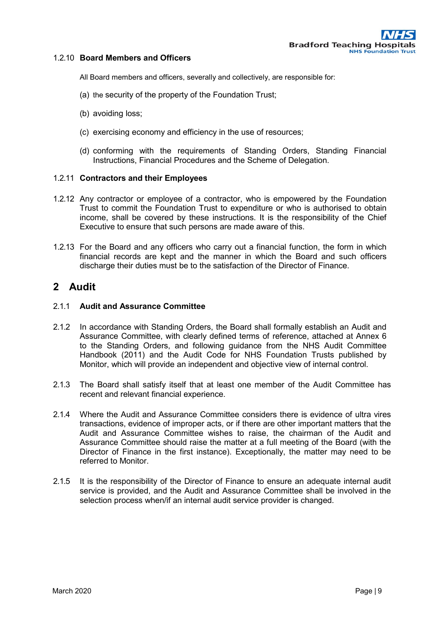#### 1.2.10 **Board Members and Officers**

All Board members and officers, severally and collectively, are responsible for:

- (a) the security of the property of the Foundation Trust;
- (b) avoiding loss;
- (c) exercising economy and efficiency in the use of resources;
- (d) conforming with the requirements of Standing Orders, Standing Financial Instructions, Financial Procedures and the Scheme of Delegation.

#### 1.2.11 **Contractors and their Employees**

- 1.2.12 Any contractor or employee of a contractor, who is empowered by the Foundation Trust to commit the Foundation Trust to expenditure or who is authorised to obtain income, shall be covered by these instructions. It is the responsibility of the Chief Executive to ensure that such persons are made aware of this.
- 1.2.13 For the Board and any officers who carry out a financial function, the form in which financial records are kept and the manner in which the Board and such officers discharge their duties must be to the satisfaction of the Director of Finance.

## <span id="page-8-0"></span>**2 Audit**

#### 2.1.1 **Audit and Assurance Committee**

- 2.1.2 In accordance with Standing Orders, the Board shall formally establish an Audit and Assurance Committee, with clearly defined terms of reference, attached at Annex 6 to the Standing Orders, and following guidance from the NHS Audit Committee Handbook (2011) and the Audit Code for NHS Foundation Trusts published by Monitor, which will provide an independent and objective view of internal control.
- 2.1.3 The Board shall satisfy itself that at least one member of the Audit Committee has recent and relevant financial experience.
- 2.1.4 Where the Audit and Assurance Committee considers there is evidence of ultra vires transactions, evidence of improper acts, or if there are other important matters that the Audit and Assurance Committee wishes to raise, the chairman of the Audit and Assurance Committee should raise the matter at a full meeting of the Board (with the Director of Finance in the first instance). Exceptionally, the matter may need to be referred to Monitor.
- 2.1.5 It is the responsibility of the Director of Finance to ensure an adequate internal audit service is provided, and the Audit and Assurance Committee shall be involved in the selection process when/if an internal audit service provider is changed.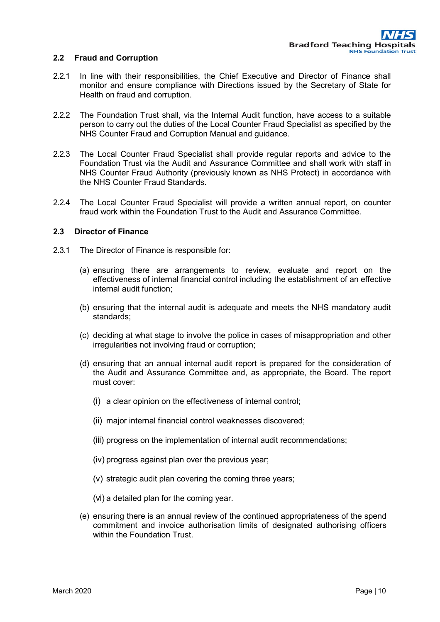#### **2.2 Fraud and Corruption**

- 2.2.1 In line with their responsibilities, the Chief Executive and Director of Finance shall monitor and ensure compliance with Directions issued by the Secretary of State for Health on fraud and corruption.
- 2.2.2 The Foundation Trust shall, via the Internal Audit function, have access to a suitable person to carry out the duties of the Local Counter Fraud Specialist as specified by the NHS Counter Fraud and Corruption Manual and guidance.
- 2.2.3 The Local Counter Fraud Specialist shall provide regular reports and advice to the Foundation Trust via the Audit and Assurance Committee and shall work with staff in NHS Counter Fraud Authority (previously known as NHS Protect) in accordance with the NHS Counter Fraud Standards.
- 2.2.4 The Local Counter Fraud Specialist will provide a written annual report, on counter fraud work within the Foundation Trust to the Audit and Assurance Committee.

#### **2.3 Director of Finance**

- 2.3.1 The Director of Finance is responsible for:
	- (a) ensuring there are arrangements to review, evaluate and report on the effectiveness of internal financial control including the establishment of an effective internal audit function;
	- (b) ensuring that the internal audit is adequate and meets the NHS mandatory audit standards;
	- (c) deciding at what stage to involve the police in cases of misappropriation and other irregularities not involving fraud or corruption;
	- (d) ensuring that an annual internal audit report is prepared for the consideration of the Audit and Assurance Committee and, as appropriate, the Board. The report must cover:
		- (i) a clear opinion on the effectiveness of internal control;
		- (ii) major internal financial control weaknesses discovered;
		- (iii) progress on the implementation of internal audit recommendations;
		- (iv) progress against plan over the previous year;
		- (v) strategic audit plan covering the coming three years;
		- (vi) a detailed plan for the coming year.
	- (e) ensuring there is an annual review of the continued appropriateness of the spend commitment and invoice authorisation limits of designated authorising officers within the Foundation Trust.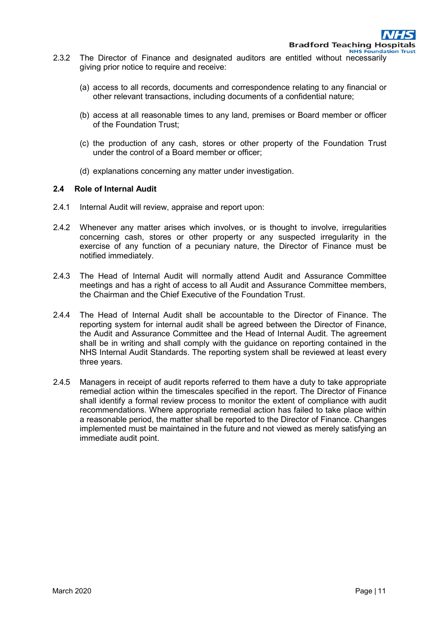- 2.3.2 The Director of Finance and designated auditors are entitled without necessarily giving prior notice to require and receive:
	- (a) access to all records, documents and correspondence relating to any financial or other relevant transactions, including documents of a confidential nature;
	- (b) access at all reasonable times to any land, premises or Board member or officer of the Foundation Trust;
	- (c) the production of any cash, stores or other property of the Foundation Trust under the control of a Board member or officer;
	- (d) explanations concerning any matter under investigation.

#### **2.4 Role of Internal Audit**

- 2.4.1 Internal Audit will review, appraise and report upon:
- 2.4.2 Whenever any matter arises which involves, or is thought to involve, irregularities concerning cash, stores or other property or any suspected irregularity in the exercise of any function of a pecuniary nature, the Director of Finance must be notified immediately.
- 2.4.3 The Head of Internal Audit will normally attend Audit and Assurance Committee meetings and has a right of access to all Audit and Assurance Committee members, the Chairman and the Chief Executive of the Foundation Trust.
- 2.4.4 The Head of Internal Audit shall be accountable to the Director of Finance. The reporting system for internal audit shall be agreed between the Director of Finance, the Audit and Assurance Committee and the Head of Internal Audit. The agreement shall be in writing and shall comply with the guidance on reporting contained in the NHS Internal Audit Standards. The reporting system shall be reviewed at least every three years.
- 2.4.5 Managers in receipt of audit reports referred to them have a duty to take appropriate remedial action within the timescales specified in the report. The Director of Finance shall identify a formal review process to monitor the extent of compliance with audit recommendations. Where appropriate remedial action has failed to take place within a reasonable period, the matter shall be reported to the Director of Finance. Changes implemented must be maintained in the future and not viewed as merely satisfying an immediate audit point.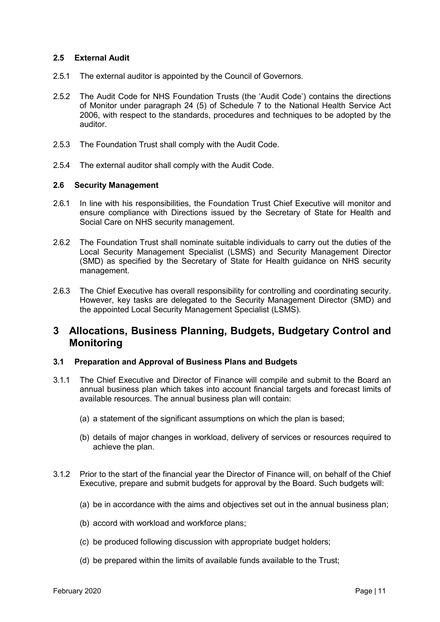#### **2.5 External Audit**

- 2.5.1 The external auditor is appointed by the Council of Governors.
- 2.5.2 The Audit Code for NHS Foundation Trusts (the 'Audit Code') contains the directions of Monitor under paragraph 24 (5) of Schedule 7 to the National Health Service Act 2006, with respect to the standards, procedures and techniques to be adopted by the auditor.
- 2.5.3 The Foundation Trust shall comply with the Audit Code.
- 2.5.4 The external auditor shall comply with the Audit Code.

#### **2.6 Security Management**

- 2.6.1 In line with his responsibilities, the Foundation Trust Chief Executive will monitor and ensure compliance with Directions issued by the Secretary of State for Health and Social Care on NHS security management.
- 2.6.2 The Foundation Trust shall nominate suitable individuals to carry out the duties of the Local Security Management Specialist (LSMS) and Security Management Director (SMD) as specified by the Secretary of State for Health guidance on NHS security management.
- 2.6.3 The Chief Executive has overall responsibility for controlling and coordinating security. However, key tasks are delegated to the Security Management Director (SMD) and the appointed Local Security Management Specialist (LSMS).

## <span id="page-11-0"></span>**3 Allocations, Business Planning, Budgets, Budgetary Control and Monitoring**

#### **3.1 Preparation and Approval of Business Plans and Budgets**

- 3.1.1 The Chief Executive and Director of Finance will compile and submit to the Board an annual business plan which takes into account financial targets and forecast limits of available resources. The annual business plan will contain:
	- (a) a statement of the significant assumptions on which the plan is based;
	- (b) details of major changes in workload, delivery of services or resources required to achieve the plan.
- 3.1.2 Prior to the start of the financial year the Director of Finance will, on behalf of the Chief Executive, prepare and submit budgets for approval by the Board. Such budgets will:
	- (a) be in accordance with the aims and objectives set out in the annual business plan;
	- (b) accord with workload and workforce plans;
	- (c) be produced following discussion with appropriate budget holders;
	- (d) be prepared within the limits of available funds available to the Trust;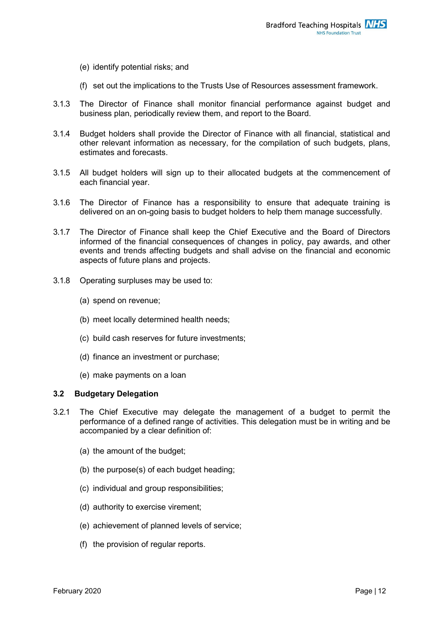- (e) identify potential risks; and
- (f) set out the implications to the Trusts Use of Resources assessment framework.
- 3.1.3 The Director of Finance shall monitor financial performance against budget and business plan, periodically review them, and report to the Board.
- 3.1.4 Budget holders shall provide the Director of Finance with all financial, statistical and other relevant information as necessary, for the compilation of such budgets, plans, estimates and forecasts.
- 3.1.5 All budget holders will sign up to their allocated budgets at the commencement of each financial year.
- 3.1.6 The Director of Finance has a responsibility to ensure that adequate training is delivered on an on-going basis to budget holders to help them manage successfully.
- 3.1.7 The Director of Finance shall keep the Chief Executive and the Board of Directors informed of the financial consequences of changes in policy, pay awards, and other events and trends affecting budgets and shall advise on the financial and economic aspects of future plans and projects.
- 3.1.8 Operating surpluses may be used to:
	- (a) spend on revenue;
	- (b) meet locally determined health needs;
	- (c) build cash reserves for future investments;
	- (d) finance an investment or purchase;
	- (e) make payments on a loan

#### **3.2 Budgetary Delegation**

- 3.2.1 The Chief Executive may delegate the management of a budget to permit the performance of a defined range of activities. This delegation must be in writing and be accompanied by a clear definition of:
	- (a) the amount of the budget;
	- (b) the purpose(s) of each budget heading;
	- (c) individual and group responsibilities;
	- (d) authority to exercise virement;
	- (e) achievement of planned levels of service;
	- (f) the provision of regular reports.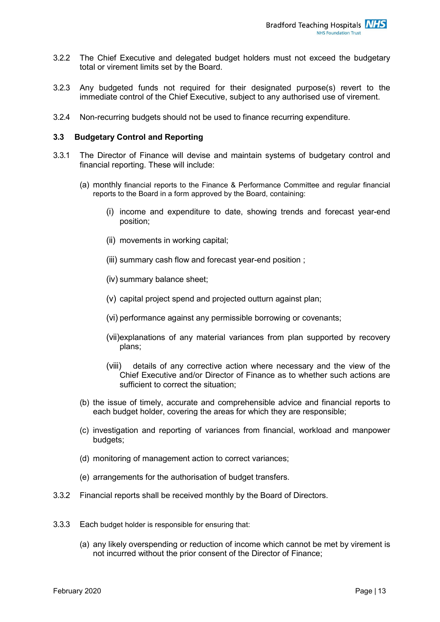- 3.2.2 The Chief Executive and delegated budget holders must not exceed the budgetary total or virement limits set by the Board.
- 3.2.3 Any budgeted funds not required for their designated purpose(s) revert to the immediate control of the Chief Executive, subject to any authorised use of virement.
- 3.2.4 Non-recurring budgets should not be used to finance recurring expenditure.

#### **3.3 Budgetary Control and Reporting**

- 3.3.1 The Director of Finance will devise and maintain systems of budgetary control and financial reporting. These will include:
	- (a) monthly financial reports to the Finance & Performance Committee and regular financial reports to the Board in a form approved by the Board, containing:
		- (i) income and expenditure to date, showing trends and forecast year-end position;
		- (ii) movements in working capital;
		- (iii) summary cash flow and forecast year-end position ;
		- (iv) summary balance sheet;
		- (v) capital project spend and projected outturn against plan;
		- (vi) performance against any permissible borrowing or covenants;
		- (vii)explanations of any material variances from plan supported by recovery plans;
		- (viii) details of any corrective action where necessary and the view of the Chief Executive and/or Director of Finance as to whether such actions are sufficient to correct the situation;
	- (b) the issue of timely, accurate and comprehensible advice and financial reports to each budget holder, covering the areas for which they are responsible;
	- (c) investigation and reporting of variances from financial, workload and manpower budgets;
	- (d) monitoring of management action to correct variances;
	- (e) arrangements for the authorisation of budget transfers.
- 3.3.2 Financial reports shall be received monthly by the Board of Directors.
- 3.3.3 Each budget holder is responsible for ensuring that:
	- (a) any likely overspending or reduction of income which cannot be met by virement is not incurred without the prior consent of the Director of Finance;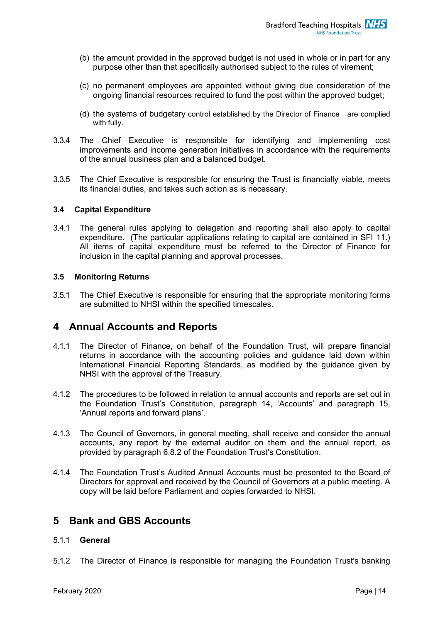- (b) the amount provided in the approved budget is not used in whole or in part for any purpose other than that specifically authorised subject to the rules of virement;
- (c) no permanent employees are appointed without giving due consideration of the ongoing financial resources required to fund the post within the approved budget;
- (d) the systems of budgetary control established by the Director of Finance are complied with fully.
- 3.3.4 The Chief Executive is responsible for identifying and implementing cost improvements and income generation initiatives in accordance with the requirements of the annual business plan and a balanced budget.
- 3.3.5 The Chief Executive is responsible for ensuring the Trust is financially viable, meets its financial duties, and takes such action as is necessary.

#### **3.4 Capital Expenditure**

3.4.1 The general rules applying to delegation and reporting shall also apply to capital expenditure. (The particular applications relating to capital are contained in SFI 11.) All items of capital expenditure must be referred to the Director of Finance for inclusion in the capital planning and approval processes.

#### **3.5 Monitoring Returns**

3.5.1 The Chief Executive is responsible for ensuring that the appropriate monitoring forms are submitted to NHSI within the specified timescales.

## <span id="page-14-0"></span>**4 Annual Accounts and Reports**

- 4.1.1 The Director of Finance, on behalf of the Foundation Trust, will prepare financial returns in accordance with the accounting policies and guidance laid down within International Financial Reporting Standards, as modified by the guidance given by NHSI with the approval of the Treasury.
- 4.1.2 The procedures to be followed in relation to annual accounts and reports are set out in the Foundation Trust's Constitution, paragraph 14, 'Accounts' and paragraph 15, 'Annual reports and forward plans'.
- 4.1.3 The Council of Governors, in general meeting, shall receive and consider the annual accounts, any report by the external auditor on them and the annual report, as provided by paragraph 6.8.2 of the Foundation Trust's Constitution.
- 4.1.4 The Foundation Trust's Audited Annual Accounts must be presented to the Board of Directors for approval and received by the Council of Governors at a public meeting. A copy will be laid before Parliament and copies forwarded to NHSI.

## <span id="page-14-1"></span>**5 Bank and GBS Accounts**

#### 5.1.1 **General**

5.1.2 The Director of Finance is responsible for managing the Foundation Trust's banking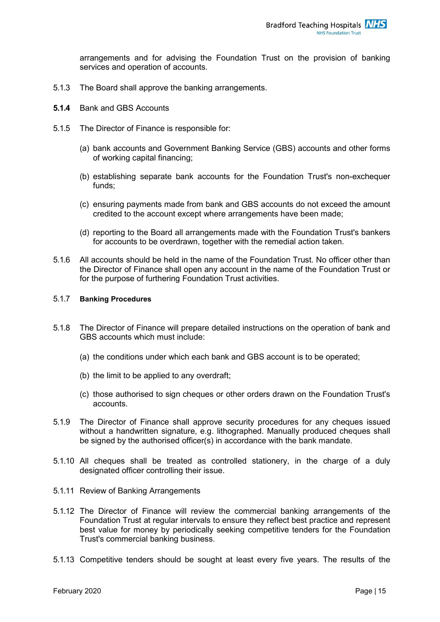arrangements and for advising the Foundation Trust on the provision of banking services and operation of accounts.

- 5.1.3 The Board shall approve the banking arrangements.
- **5.1.4** Bank and GBS Accounts
- 5.1.5 The Director of Finance is responsible for:
	- (a) bank accounts and Government Banking Service (GBS) accounts and other forms of working capital financing;
	- (b) establishing separate bank accounts for the Foundation Trust's non-exchequer funds;
	- (c) ensuring payments made from bank and GBS accounts do not exceed the amount credited to the account except where arrangements have been made;
	- (d) reporting to the Board all arrangements made with the Foundation Trust's bankers for accounts to be overdrawn, together with the remedial action taken.
- 5.1.6 All accounts should be held in the name of the Foundation Trust. No officer other than the Director of Finance shall open any account in the name of the Foundation Trust or for the purpose of furthering Foundation Trust activities.

#### 5.1.7 **Banking Procedures**

- 5.1.8 The Director of Finance will prepare detailed instructions on the operation of bank and GBS accounts which must include:
	- (a) the conditions under which each bank and GBS account is to be operated;
	- (b) the limit to be applied to any overdraft;
	- (c) those authorised to sign cheques or other orders drawn on the Foundation Trust's accounts.
- 5.1.9 The Director of Finance shall approve security procedures for any cheques issued without a handwritten signature, e.g. lithographed. Manually produced cheques shall be signed by the authorised officer(s) in accordance with the bank mandate.
- 5.1.10 All cheques shall be treated as controlled stationery, in the charge of a duly designated officer controlling their issue.
- 5.1.11 Review of Banking Arrangements
- 5.1.12 The Director of Finance will review the commercial banking arrangements of the Foundation Trust at regular intervals to ensure they reflect best practice and represent best value for money by periodically seeking competitive tenders for the Foundation Trust's commercial banking business.
- 5.1.13 Competitive tenders should be sought at least every five years. The results of the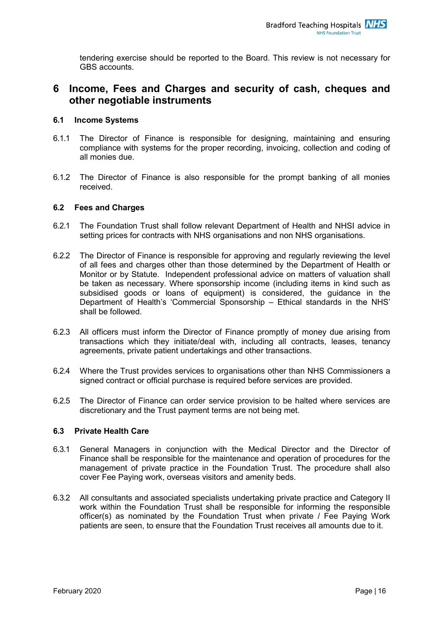tendering exercise should be reported to the Board. This review is not necessary for GBS accounts.

## <span id="page-16-0"></span>**6 Income, Fees and Charges and security of cash, cheques and other negotiable instruments**

#### **6.1 Income Systems**

- 6.1.1 The Director of Finance is responsible for designing, maintaining and ensuring compliance with systems for the proper recording, invoicing, collection and coding of all monies due.
- 6.1.2 The Director of Finance is also responsible for the prompt banking of all monies received.

#### **6.2 Fees and Charges**

- 6.2.1 The Foundation Trust shall follow relevant Department of Health and NHSI advice in setting prices for contracts with NHS organisations and non NHS organisations.
- 6.2.2 The Director of Finance is responsible for approving and regularly reviewing the level of all fees and charges other than those determined by the Department of Health or Monitor or by Statute. Independent professional advice on matters of valuation shall be taken as necessary. Where sponsorship income (including items in kind such as subsidised goods or loans of equipment) is considered, the guidance in the Department of Health's 'Commercial Sponsorship – Ethical standards in the NHS' shall be followed.
- 6.2.3 All officers must inform the Director of Finance promptly of money due arising from transactions which they initiate/deal with, including all contracts, leases, tenancy agreements, private patient undertakings and other transactions.
- 6.2.4 Where the Trust provides services to organisations other than NHS Commissioners a signed contract or official purchase is required before services are provided.
- 6.2.5 The Director of Finance can order service provision to be halted where services are discretionary and the Trust payment terms are not being met.

#### **6.3 Private Health Care**

- 6.3.1 General Managers in conjunction with the Medical Director and the Director of Finance shall be responsible for the maintenance and operation of procedures for the management of private practice in the Foundation Trust. The procedure shall also cover Fee Paying work, overseas visitors and amenity beds.
- 6.3.2 All consultants and associated specialists undertaking private practice and Category II work within the Foundation Trust shall be responsible for informing the responsible officer(s) as nominated by the Foundation Trust when private / Fee Paying Work patients are seen, to ensure that the Foundation Trust receives all amounts due to it.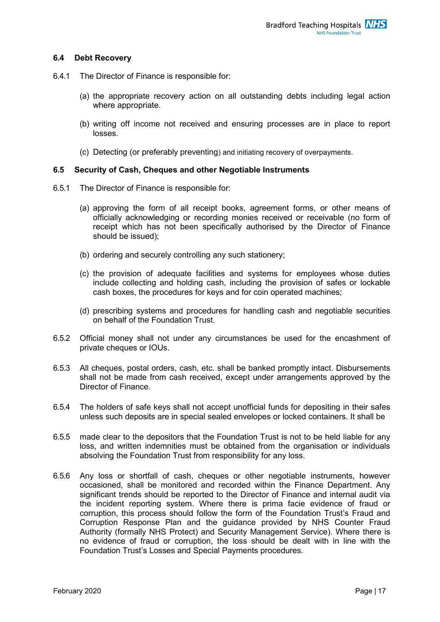#### **6.4 Debt Recovery**

- 6.4.1 The Director of Finance is responsible for:
	- (a) the appropriate recovery action on all outstanding debts including legal action where appropriate.
	- (b) writing off income not received and ensuring processes are in place to report losses.
	- (c) Detecting (or preferably preventing) and initiating recovery of overpayments.

#### **6.5 Security of Cash, Cheques and other Negotiable Instruments**

- 6.5.1 The Director of Finance is responsible for:
	- (a) approving the form of all receipt books, agreement forms, or other means of officially acknowledging or recording monies received or receivable (no form of receipt which has not been specifically authorised by the Director of Finance should be issued);
	- (b) ordering and securely controlling any such stationery;
	- (c) the provision of adequate facilities and systems for employees whose duties include collecting and holding cash, including the provision of safes or lockable cash boxes, the procedures for keys and for coin operated machines;
	- (d) prescribing systems and procedures for handling cash and negotiable securities on behalf of the Foundation Trust.
- 6.5.2 Official money shall not under any circumstances be used for the encashment of private cheques or IOUs.
- 6.5.3 All cheques, postal orders, cash, etc. shall be banked promptly intact. Disbursements shall not be made from cash received, except under arrangements approved by the Director of Finance.
- 6.5.4 The holders of safe keys shall not accept unofficial funds for depositing in their safes unless such deposits are in special sealed envelopes or locked containers. It shall be
- 6.5.5 made clear to the depositors that the Foundation Trust is not to be held liable for any loss, and written indemnities must be obtained from the organisation or individuals absolving the Foundation Trust from responsibility for any loss.
- 6.5.6 Any loss or shortfall of cash, cheques or other negotiable instruments, however occasioned, shall be monitored and recorded within the Finance Department. Any significant trends should be reported to the Director of Finance and internal audit via the incident reporting system. Where there is prima facie evidence of fraud or corruption, this process should follow the form of the Foundation Trust's Fraud and Corruption Response Plan and the guidance provided by NHS Counter Fraud Authority (formally NHS Protect) and Security Management Service). Where there is no evidence of fraud or corruption, the loss should be dealt with in line with the Foundation Trust's Losses and Special Payments procedures.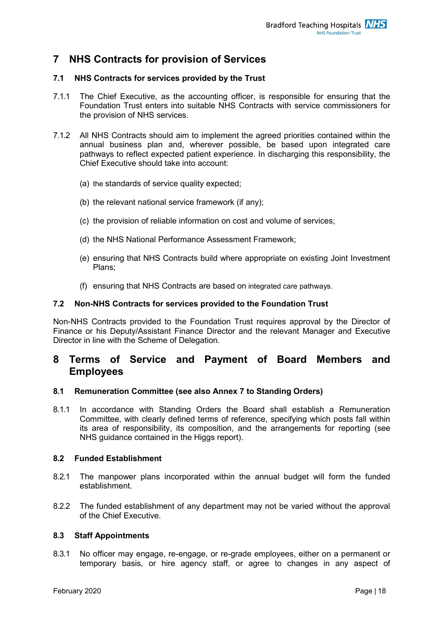# <span id="page-18-0"></span>**7 NHS Contracts for provision of Services**

#### **7.1 NHS Contracts for services provided by the Trust**

- 7.1.1 The Chief Executive, as the accounting officer, is responsible for ensuring that the Foundation Trust enters into suitable NHS Contracts with service commissioners for the provision of NHS services.
- 7.1.2 All NHS Contracts should aim to implement the agreed priorities contained within the annual business plan and, wherever possible, be based upon integrated care pathways to reflect expected patient experience. In discharging this responsibility, the Chief Executive should take into account:
	- (a) the standards of service quality expected;
	- (b) the relevant national service framework (if any);
	- (c) the provision of reliable information on cost and volume of services;
	- (d) the NHS National Performance Assessment Framework;
	- (e) ensuring that NHS Contracts build where appropriate on existing Joint Investment Plans;
	- (f) ensuring that NHS Contracts are based on integrated care pathways.

#### **7.2 Non-NHS Contracts for services provided to the Foundation Trust**

Non-NHS Contracts provided to the Foundation Trust requires approval by the Director of Finance or his Deputy/Assistant Finance Director and the relevant Manager and Executive Director in line with the Scheme of Delegation.

## <span id="page-18-1"></span>**8 Terms of Service and Payment of Board Members and Employees**

#### **8.1 Remuneration Committee (see also Annex 7 to Standing Orders)**

8.1.1 In accordance with Standing Orders the Board shall establish a Remuneration Committee, with clearly defined terms of reference, specifying which posts fall within its area of responsibility, its composition, and the arrangements for reporting (see NHS guidance contained in the Higgs report).

#### **8.2 Funded Establishment**

- 8.2.1 The manpower plans incorporated within the annual budget will form the funded establishment.
- 8.2.2 The funded establishment of any department may not be varied without the approval of the Chief Executive.

#### **8.3 Staff Appointments**

8.3.1 No officer may engage, re-engage, or re-grade employees, either on a permanent or temporary basis, or hire agency staff, or agree to changes in any aspect of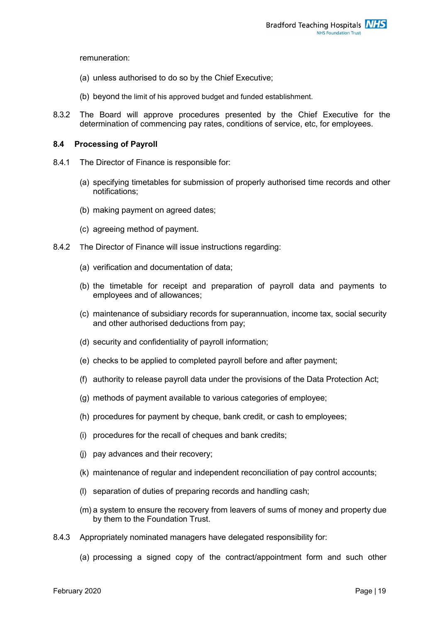remuneration:

- (a) unless authorised to do so by the Chief Executive;
- (b) beyond the limit of his approved budget and funded establishment.
- 8.3.2 The Board will approve procedures presented by the Chief Executive for the determination of commencing pay rates, conditions of service, etc, for employees.

#### **8.4 Processing of Payroll**

- 8.4.1 The Director of Finance is responsible for:
	- (a) specifying timetables for submission of properly authorised time records and other notifications;
	- (b) making payment on agreed dates;
	- (c) agreeing method of payment.
- 8.4.2 The Director of Finance will issue instructions regarding:
	- (a) verification and documentation of data;
	- (b) the timetable for receipt and preparation of payroll data and payments to employees and of allowances;
	- (c) maintenance of subsidiary records for superannuation, income tax, social security and other authorised deductions from pay;
	- (d) security and confidentiality of payroll information;
	- (e) checks to be applied to completed payroll before and after payment;
	- (f) authority to release payroll data under the provisions of the Data Protection Act;
	- (g) methods of payment available to various categories of employee;
	- (h) procedures for payment by cheque, bank credit, or cash to employees;
	- (i) procedures for the recall of cheques and bank credits;
	- (j) pay advances and their recovery;
	- (k) maintenance of regular and independent reconciliation of pay control accounts;
	- (l) separation of duties of preparing records and handling cash;
	- (m) a system to ensure the recovery from leavers of sums of money and property due by them to the Foundation Trust.
- 8.4.3 Appropriately nominated managers have delegated responsibility for:
	- (a) processing a signed copy of the contract/appointment form and such other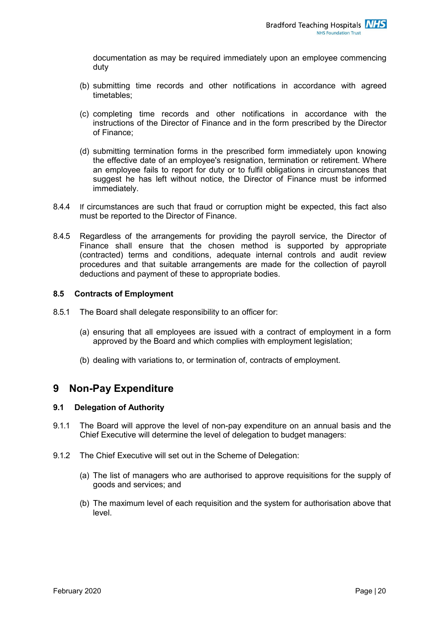documentation as may be required immediately upon an employee commencing duty

- (b) submitting time records and other notifications in accordance with agreed timetables;
- (c) completing time records and other notifications in accordance with the instructions of the Director of Finance and in the form prescribed by the Director of Finance;
- (d) submitting termination forms in the prescribed form immediately upon knowing the effective date of an employee's resignation, termination or retirement. Where an employee fails to report for duty or to fulfil obligations in circumstances that suggest he has left without notice, the Director of Finance must be informed immediately.
- 8.4.4 If circumstances are such that fraud or corruption might be expected, this fact also must be reported to the Director of Finance.
- 8.4.5 Regardless of the arrangements for providing the payroll service, the Director of Finance shall ensure that the chosen method is supported by appropriate (contracted) terms and conditions, adequate internal controls and audit review procedures and that suitable arrangements are made for the collection of payroll deductions and payment of these to appropriate bodies.

#### **8.5 Contracts of Employment**

- 8.5.1 The Board shall delegate responsibility to an officer for:
	- (a) ensuring that all employees are issued with a contract of employment in a form approved by the Board and which complies with employment legislation;
	- (b) dealing with variations to, or termination of, contracts of employment.

## <span id="page-20-0"></span>**9 Non-Pay Expenditure**

#### **9.1 Delegation of Authority**

- 9.1.1 The Board will approve the level of non-pay expenditure on an annual basis and the Chief Executive will determine the level of delegation to budget managers:
- 9.1.2 The Chief Executive will set out in the Scheme of Delegation:
	- (a) The list of managers who are authorised to approve requisitions for the supply of goods and services; and
	- (b) The maximum level of each requisition and the system for authorisation above that level.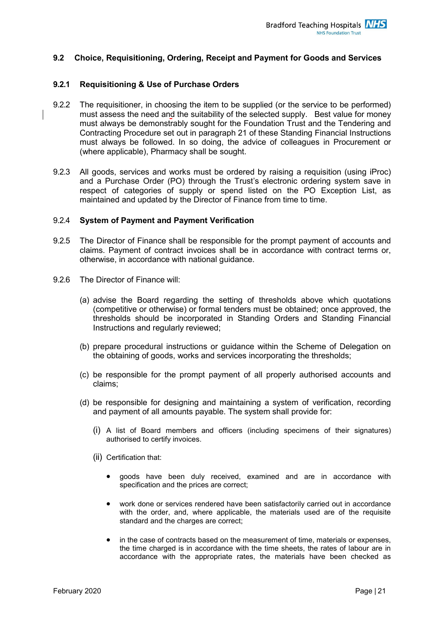#### **9.2 Choice, Requisitioning, Ordering, Receipt and Payment for Goods and Services**

#### **9.2.1 Requisitioning & Use of Purchase Orders**

- 9.2.2 The requisitioner, in choosing the item to be supplied (or the service to be performed) must assess the need and the suitability of the selected supply. Best value for money must always be demonstrably sought for the Foundation Trust and the Tendering and Contracting Procedure set out in paragraph 21 of these Standing Financial Instructions must always be followed. In so doing, the advice of colleagues in Procurement or (where applicable), Pharmacy shall be sought.
- 9.2.3 All goods, services and works must be ordered by raising a requisition (using iProc) and a Purchase Order (PO) through the Trust's electronic ordering system save in respect of categories of supply or spend listed on the PO Exception List, as maintained and updated by the Director of Finance from time to time.

#### 9.2.4 **System of Payment and Payment Verification**

- 9.2.5 The Director of Finance shall be responsible for the prompt payment of accounts and claims. Payment of contract invoices shall be in accordance with contract terms or, otherwise, in accordance with national guidance.
- 9.2.6 The Director of Finance will:
	- (a) advise the Board regarding the setting of thresholds above which quotations (competitive or otherwise) or formal tenders must be obtained; once approved, the thresholds should be incorporated in Standing Orders and Standing Financial Instructions and regularly reviewed;
	- (b) prepare procedural instructions or guidance within the Scheme of Delegation on the obtaining of goods, works and services incorporating the thresholds;
	- (c) be responsible for the prompt payment of all properly authorised accounts and claims;
	- (d) be responsible for designing and maintaining a system of verification, recording and payment of all amounts payable. The system shall provide for:
		- (i) A list of Board members and officers (including specimens of their signatures) authorised to certify invoices.
		- (ii) Certification that:
			- goods have been duly received, examined and are in accordance with specification and the prices are correct;
			- work done or services rendered have been satisfactorily carried out in accordance with the order, and, where applicable, the materials used are of the requisite standard and the charges are correct;
			- in the case of contracts based on the measurement of time, materials or expenses, the time charged is in accordance with the time sheets, the rates of labour are in accordance with the appropriate rates, the materials have been checked as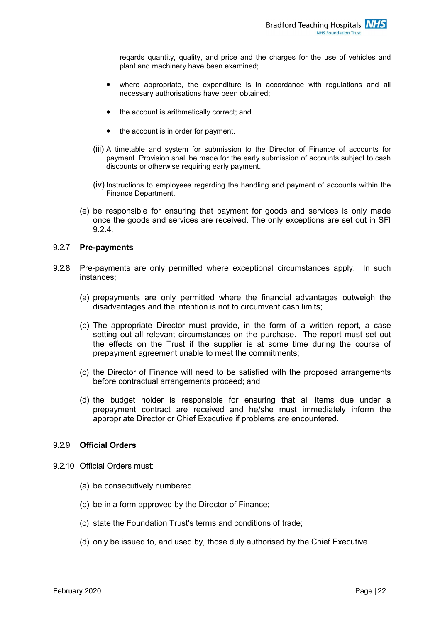regards quantity, quality, and price and the charges for the use of vehicles and plant and machinery have been examined;

- where appropriate, the expenditure is in accordance with regulations and all necessary authorisations have been obtained;
- the account is arithmetically correct; and
- the account is in order for payment.
- (iii) A timetable and system for submission to the Director of Finance of accounts for payment. Provision shall be made for the early submission of accounts subject to cash discounts or otherwise requiring early payment.
- (iv) Instructions to employees regarding the handling and payment of accounts within the Finance Department.
- (e) be responsible for ensuring that payment for goods and services is only made once the goods and services are received. The only exceptions are set out in SFI 9.2.4.

#### 9.2.7 **Pre-payments**

- 9.2.8 Pre-payments are only permitted where exceptional circumstances apply. In such instances;
	- (a) prepayments are only permitted where the financial advantages outweigh the disadvantages and the intention is not to circumvent cash limits;
	- (b) The appropriate Director must provide, in the form of a written report, a case setting out all relevant circumstances on the purchase. The report must set out the effects on the Trust if the supplier is at some time during the course of prepayment agreement unable to meet the commitments;
	- (c) the Director of Finance will need to be satisfied with the proposed arrangements before contractual arrangements proceed; and
	- (d) the budget holder is responsible for ensuring that all items due under a prepayment contract are received and he/she must immediately inform the appropriate Director or Chief Executive if problems are encountered.

#### 9.2.9 **Official Orders**

- 9.2.10 Official Orders must:
	- (a) be consecutively numbered;
	- (b) be in a form approved by the Director of Finance;
	- (c) state the Foundation Trust's terms and conditions of trade;
	- (d) only be issued to, and used by, those duly authorised by the Chief Executive.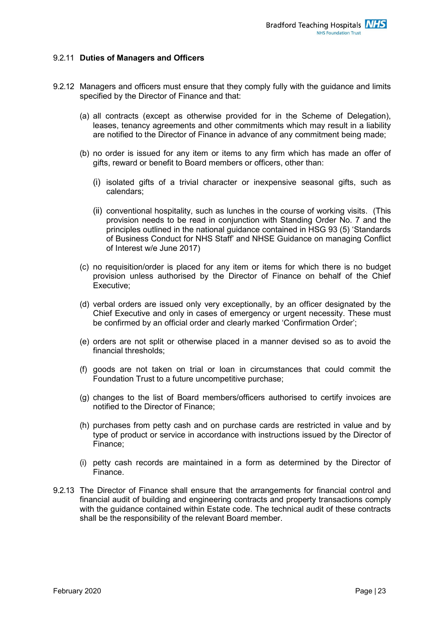#### 9.2.11 **Duties of Managers and Officers**

- 9.2.12 Managers and officers must ensure that they comply fully with the guidance and limits specified by the Director of Finance and that:
	- (a) all contracts (except as otherwise provided for in the Scheme of Delegation), leases, tenancy agreements and other commitments which may result in a liability are notified to the Director of Finance in advance of any commitment being made;
	- (b) no order is issued for any item or items to any firm which has made an offer of gifts, reward or benefit to Board members or officers, other than:
		- (i) isolated gifts of a trivial character or inexpensive seasonal gifts, such as calendars;
		- (ii) conventional hospitality, such as lunches in the course of working visits. (This provision needs to be read in conjunction with Standing Order No. 7 and the principles outlined in the national guidance contained in HSG 93 (5) 'Standards of Business Conduct for NHS Staff' and NHSE Guidance on managing Conflict of Interest w/e June 2017)
	- (c) no requisition/order is placed for any item or items for which there is no budget provision unless authorised by the Director of Finance on behalf of the Chief Executive;
	- (d) verbal orders are issued only very exceptionally, by an officer designated by the Chief Executive and only in cases of emergency or urgent necessity. These must be confirmed by an official order and clearly marked 'Confirmation Order';
	- (e) orders are not split or otherwise placed in a manner devised so as to avoid the financial thresholds;
	- (f) goods are not taken on trial or loan in circumstances that could commit the Foundation Trust to a future uncompetitive purchase;
	- (g) changes to the list of Board members/officers authorised to certify invoices are notified to the Director of Finance;
	- (h) purchases from petty cash and on purchase cards are restricted in value and by type of product or service in accordance with instructions issued by the Director of Finance;
	- (i) petty cash records are maintained in a form as determined by the Director of Finance.
- 9.2.13 The Director of Finance shall ensure that the arrangements for financial control and financial audit of building and engineering contracts and property transactions comply with the guidance contained within Estate code. The technical audit of these contracts shall be the responsibility of the relevant Board member.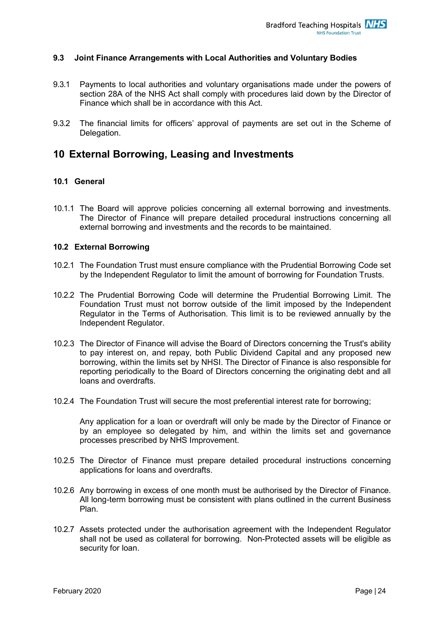#### **9.3 Joint Finance Arrangements with Local Authorities and Voluntary Bodies**

- 9.3.1 Payments to local authorities and voluntary organisations made under the powers of section 28A of the NHS Act shall comply with procedures laid down by the Director of Finance which shall be in accordance with this Act.
- 9.3.2 The financial limits for officers' approval of payments are set out in the Scheme of Delegation.

## <span id="page-24-0"></span>**10 External Borrowing, Leasing and Investments**

#### **10.1 General**

10.1.1 The Board will approve policies concerning all external borrowing and investments. The Director of Finance will prepare detailed procedural instructions concerning all external borrowing and investments and the records to be maintained.

#### **10.2 External Borrowing**

- 10.2.1 The Foundation Trust must ensure compliance with the Prudential Borrowing Code set by the Independent Regulator to limit the amount of borrowing for Foundation Trusts.
- 10.2.2 The Prudential Borrowing Code will determine the Prudential Borrowing Limit. The Foundation Trust must not borrow outside of the limit imposed by the Independent Regulator in the Terms of Authorisation. This limit is to be reviewed annually by the Independent Regulator.
- 10.2.3 The Director of Finance will advise the Board of Directors concerning the Trust's ability to pay interest on, and repay, both Public Dividend Capital and any proposed new borrowing, within the limits set by NHSI. The Director of Finance is also responsible for reporting periodically to the Board of Directors concerning the originating debt and all loans and overdrafts.
- 10.2.4 The Foundation Trust will secure the most preferential interest rate for borrowing;

Any application for a loan or overdraft will only be made by the Director of Finance or by an employee so delegated by him, and within the limits set and governance processes prescribed by NHS Improvement.

- 10.2.5 The Director of Finance must prepare detailed procedural instructions concerning applications for loans and overdrafts.
- 10.2.6 Any borrowing in excess of one month must be authorised by the Director of Finance. All long-term borrowing must be consistent with plans outlined in the current Business Plan.
- 10.2.7 Assets protected under the authorisation agreement with the Independent Regulator shall not be used as collateral for borrowing. Non-Protected assets will be eligible as security for loan.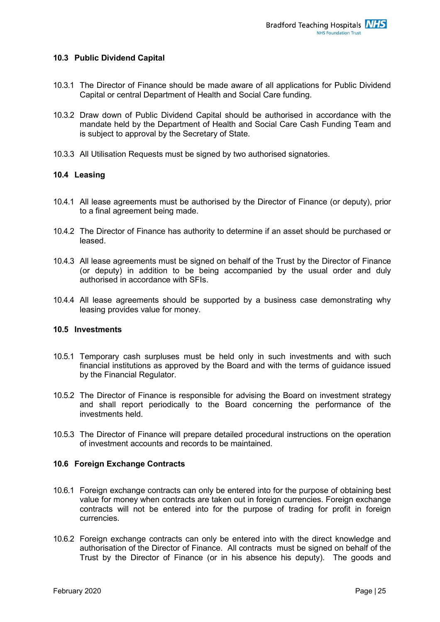#### **10.3 Public Dividend Capital**

- 10.3.1 The Director of Finance should be made aware of all applications for Public Dividend Capital or central Department of Health and Social Care funding.
- 10.3.2 Draw down of Public Dividend Capital should be authorised in accordance with the mandate held by the Department of Health and Social Care Cash Funding Team and is subject to approval by the Secretary of State.
- 10.3.3 All Utilisation Requests must be signed by two authorised signatories.

#### **10.4 Leasing**

- 10.4.1 All lease agreements must be authorised by the Director of Finance (or deputy), prior to a final agreement being made.
- 10.4.2 The Director of Finance has authority to determine if an asset should be purchased or leased.
- 10.4.3 All lease agreements must be signed on behalf of the Trust by the Director of Finance (or deputy) in addition to be being accompanied by the usual order and duly authorised in accordance with SFIs.
- 10.4.4 All lease agreements should be supported by a business case demonstrating why leasing provides value for money.

#### **10.5 Investments**

- 10.5.1 Temporary cash surpluses must be held only in such investments and with such financial institutions as approved by the Board and with the terms of guidance issued by the Financial Regulator.
- 10.5.2 The Director of Finance is responsible for advising the Board on investment strategy and shall report periodically to the Board concerning the performance of the investments held.
- 10.5.3 The Director of Finance will prepare detailed procedural instructions on the operation of investment accounts and records to be maintained.

#### **10.6 Foreign Exchange Contracts**

- 10.6.1 Foreign exchange contracts can only be entered into for the purpose of obtaining best value for money when contracts are taken out in foreign currencies. Foreign exchange contracts will not be entered into for the purpose of trading for profit in foreign currencies.
- 10.6.2 Foreign exchange contracts can only be entered into with the direct knowledge and authorisation of the Director of Finance. All contracts must be signed on behalf of the Trust by the Director of Finance (or in his absence his deputy). The goods and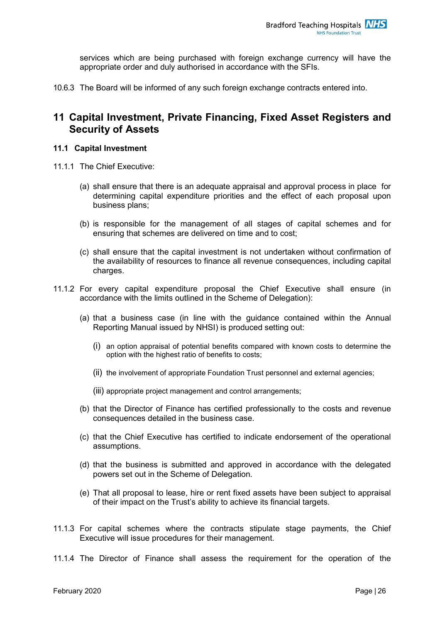services which are being purchased with foreign exchange currency will have the appropriate order and duly authorised in accordance with the SFIs.

10.6.3 The Board will be informed of any such foreign exchange contracts entered into.

## <span id="page-26-0"></span>**11 Capital Investment, Private Financing, Fixed Asset Registers and Security of Assets**

#### **11.1 Capital Investment**

- 11.1.1 The Chief Executive:
	- (a) shall ensure that there is an adequate appraisal and approval process in place for determining capital expenditure priorities and the effect of each proposal upon business plans;
	- (b) is responsible for the management of all stages of capital schemes and for ensuring that schemes are delivered on time and to cost;
	- (c) shall ensure that the capital investment is not undertaken without confirmation of the availability of resources to finance all revenue consequences, including capital charges.
- 11.1.2 For every capital expenditure proposal the Chief Executive shall ensure (in accordance with the limits outlined in the Scheme of Delegation):
	- (a) that a business case (in line with the guidance contained within the Annual Reporting Manual issued by NHSI) is produced setting out:
		- (i) an option appraisal of potential benefits compared with known costs to determine the option with the highest ratio of benefits to costs;
		- (ii) the involvement of appropriate Foundation Trust personnel and external agencies;
		- (iii) appropriate project management and control arrangements;
	- (b) that the Director of Finance has certified professionally to the costs and revenue consequences detailed in the business case.
	- (c) that the Chief Executive has certified to indicate endorsement of the operational assumptions.
	- (d) that the business is submitted and approved in accordance with the delegated powers set out in the Scheme of Delegation.
	- (e) That all proposal to lease, hire or rent fixed assets have been subject to appraisal of their impact on the Trust's ability to achieve its financial targets.
- 11.1.3 For capital schemes where the contracts stipulate stage payments, the Chief Executive will issue procedures for their management.
- 11.1.4 The Director of Finance shall assess the requirement for the operation of the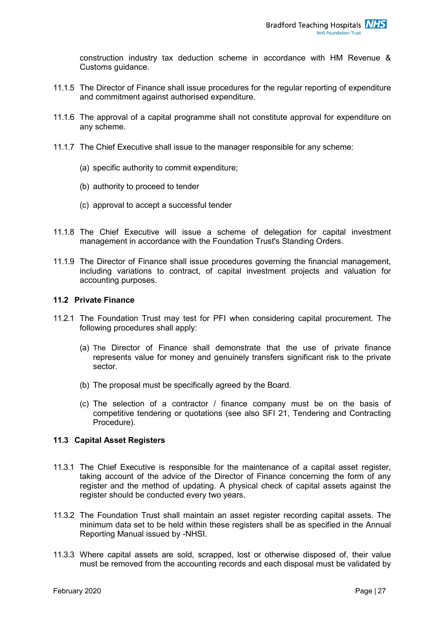construction industry tax deduction scheme in accordance with HM Revenue & Customs guidance.

- 11.1.5 The Director of Finance shall issue procedures for the regular reporting of expenditure and commitment against authorised expenditure.
- 11.1.6 The approval of a capital programme shall not constitute approval for expenditure on any scheme.
- 11.1.7 The Chief Executive shall issue to the manager responsible for any scheme:
	- (a) specific authority to commit expenditure;
	- (b) authority to proceed to tender
	- (c) approval to accept a successful tender
- 11.1.8 The Chief Executive will issue a scheme of delegation for capital investment management in accordance with the Foundation Trust's Standing Orders.
- 11.1.9 The Director of Finance shall issue procedures governing the financial management, including variations to contract, of capital investment projects and valuation for accounting purposes.

#### **11.2 Private Finance**

- 11.2.1 The Foundation Trust may test for PFI when considering capital procurement. The following procedures shall apply:
	- (a) The Director of Finance shall demonstrate that the use of private finance represents value for money and genuinely transfers significant risk to the private sector.
	- (b) The proposal must be specifically agreed by the Board.
	- (c) The selection of a contractor / finance company must be on the basis of competitive tendering or quotations (see also SFI 21, Tendering and Contracting Procedure).

#### **11.3 Capital Asset Registers**

- 11.3.1 The Chief Executive is responsible for the maintenance of a capital asset register, taking account of the advice of the Director of Finance concerning the form of any register and the method of updating. A physical check of capital assets against the register should be conducted every two years.
- 11.3.2 The Foundation Trust shall maintain an asset register recording capital assets. The minimum data set to be held within these registers shall be as specified in the Annual Reporting Manual issued by -NHSI.
- 11.3.3 Where capital assets are sold, scrapped, lost or otherwise disposed of, their value must be removed from the accounting records and each disposal must be validated by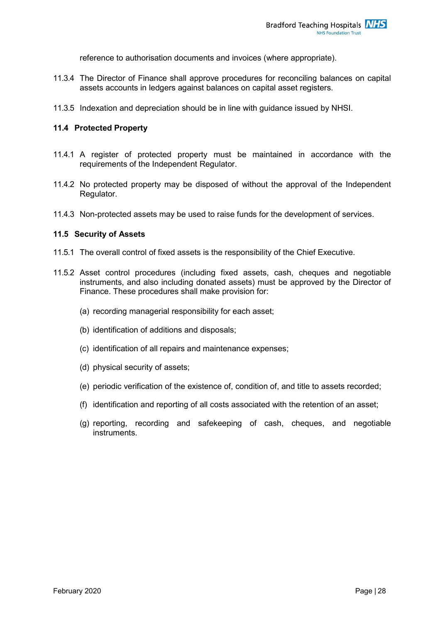reference to authorisation documents and invoices (where appropriate).

- 11.3.4 The Director of Finance shall approve procedures for reconciling balances on capital assets accounts in ledgers against balances on capital asset registers.
- 11.3.5 Indexation and depreciation should be in line with guidance issued by NHSI.

#### **11.4 Protected Property**

- 11.4.1 A register of protected property must be maintained in accordance with the requirements of the Independent Regulator.
- 11.4.2 No protected property may be disposed of without the approval of the Independent Regulator.
- 11.4.3 Non-protected assets may be used to raise funds for the development of services.

#### **11.5 Security of Assets**

- 11.5.1 The overall control of fixed assets is the responsibility of the Chief Executive.
- 11.5.2 Asset control procedures (including fixed assets, cash, cheques and negotiable instruments, and also including donated assets) must be approved by the Director of Finance. These procedures shall make provision for:
	- (a) recording managerial responsibility for each asset;
	- (b) identification of additions and disposals;
	- (c) identification of all repairs and maintenance expenses;
	- (d) physical security of assets;
	- (e) periodic verification of the existence of, condition of, and title to assets recorded;
	- (f) identification and reporting of all costs associated with the retention of an asset;
	- (g) reporting, recording and safekeeping of cash, cheques, and negotiable instruments.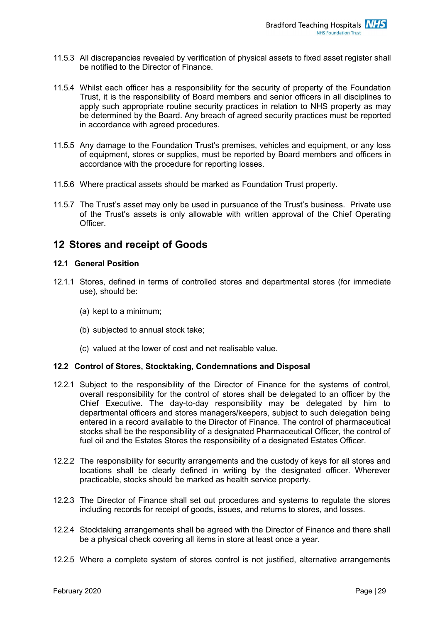- 11.5.3 All discrepancies revealed by verification of physical assets to fixed asset register shall be notified to the Director of Finance.
- 11.5.4 Whilst each officer has a responsibility for the security of property of the Foundation Trust, it is the responsibility of Board members and senior officers in all disciplines to apply such appropriate routine security practices in relation to NHS property as may be determined by the Board. Any breach of agreed security practices must be reported in accordance with agreed procedures.
- 11.5.5 Any damage to the Foundation Trust's premises, vehicles and equipment, or any loss of equipment, stores or supplies, must be reported by Board members and officers in accordance with the procedure for reporting losses.
- 11.5.6 Where practical assets should be marked as Foundation Trust property.
- 11.5.7 The Trust's asset may only be used in pursuance of the Trust's business. Private use of the Trust's assets is only allowable with written approval of the Chief Operating Officer.

## <span id="page-29-0"></span>**12 Stores and receipt of Goods**

#### **12.1 General Position**

- 12.1.1 Stores, defined in terms of controlled stores and departmental stores (for immediate use), should be:
	- (a) kept to a minimum;
	- (b) subjected to annual stock take;
	- (c) valued at the lower of cost and net realisable value.

#### **12.2 Control of Stores, Stocktaking, Condemnations and Disposal**

- 12.2.1 Subject to the responsibility of the Director of Finance for the systems of control, overall responsibility for the control of stores shall be delegated to an officer by the Chief Executive. The day-to-day responsibility may be delegated by him to departmental officers and stores managers/keepers, subject to such delegation being entered in a record available to the Director of Finance. The control of pharmaceutical stocks shall be the responsibility of a designated Pharmaceutical Officer, the control of fuel oil and the Estates Stores the responsibility of a designated Estates Officer.
- 12.2.2 The responsibility for security arrangements and the custody of keys for all stores and locations shall be clearly defined in writing by the designated officer. Wherever practicable, stocks should be marked as health service property.
- 12.2.3 The Director of Finance shall set out procedures and systems to regulate the stores including records for receipt of goods, issues, and returns to stores, and losses.
- 12.2.4 Stocktaking arrangements shall be agreed with the Director of Finance and there shall be a physical check covering all items in store at least once a year.
- 12.2.5 Where a complete system of stores control is not justified, alternative arrangements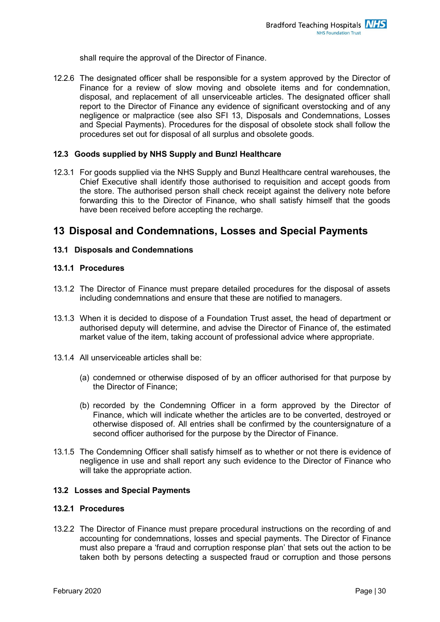shall require the approval of the Director of Finance.

12.2.6 The designated officer shall be responsible for a system approved by the Director of Finance for a review of slow moving and obsolete items and for condemnation, disposal, and replacement of all unserviceable articles. The designated officer shall report to the Director of Finance any evidence of significant overstocking and of any negligence or malpractice (see also SFI 13, Disposals and Condemnations, Losses and Special Payments). Procedures for the disposal of obsolete stock shall follow the procedures set out for disposal of all surplus and obsolete goods.

#### **12.3 Goods supplied by NHS Supply and Bunzl Healthcare**

12.3.1 For goods supplied via the NHS Supply and Bunzl Healthcare central warehouses, the Chief Executive shall identify those authorised to requisition and accept goods from the store. The authorised person shall check receipt against the delivery note before forwarding this to the Director of Finance, who shall satisfy himself that the goods have been received before accepting the recharge.

## <span id="page-30-0"></span>**13 Disposal and Condemnations, Losses and Special Payments**

#### **13.1 Disposals and Condemnations**

#### **13.1.1 Procedures**

- 13.1.2 The Director of Finance must prepare detailed procedures for the disposal of assets including condemnations and ensure that these are notified to managers.
- 13.1.3 When it is decided to dispose of a Foundation Trust asset, the head of department or authorised deputy will determine, and advise the Director of Finance of, the estimated market value of the item, taking account of professional advice where appropriate.
- 13.1.4 All unserviceable articles shall be:
	- (a) condemned or otherwise disposed of by an officer authorised for that purpose by the Director of Finance;
	- (b) recorded by the Condemning Officer in a form approved by the Director of Finance, which will indicate whether the articles are to be converted, destroyed or otherwise disposed of. All entries shall be confirmed by the countersignature of a second officer authorised for the purpose by the Director of Finance.
- 13.1.5 The Condemning Officer shall satisfy himself as to whether or not there is evidence of negligence in use and shall report any such evidence to the Director of Finance who will take the appropriate action.

#### **13.2 Losses and Special Payments**

#### **13.2.1 Procedures**

13.2.2 The Director of Finance must prepare procedural instructions on the recording of and accounting for condemnations, losses and special payments. The Director of Finance must also prepare a 'fraud and corruption response plan' that sets out the action to be taken both by persons detecting a suspected fraud or corruption and those persons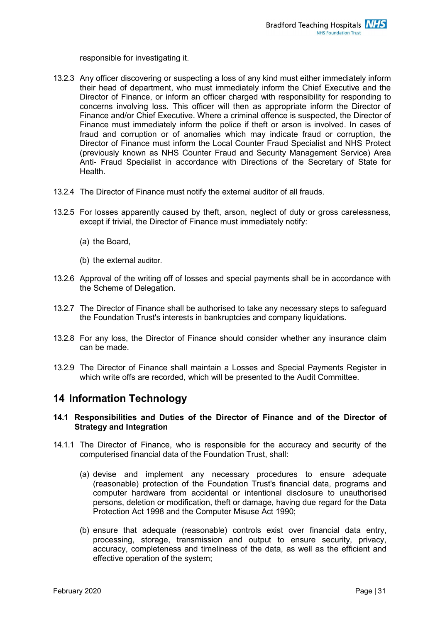responsible for investigating it.

- 13.2.3 Any officer discovering or suspecting a loss of any kind must either immediately inform their head of department, who must immediately inform the Chief Executive and the Director of Finance, or inform an officer charged with responsibility for responding to concerns involving loss. This officer will then as appropriate inform the Director of Finance and/or Chief Executive. Where a criminal offence is suspected, the Director of Finance must immediately inform the police if theft or arson is involved. In cases of fraud and corruption or of anomalies which may indicate fraud or corruption, the Director of Finance must inform the Local Counter Fraud Specialist and NHS Protect (previously known as NHS Counter Fraud and Security Management Service) Area Anti- Fraud Specialist in accordance with Directions of the Secretary of State for Health.
- 13.2.4 The Director of Finance must notify the external auditor of all frauds.
- 13.2.5 For losses apparently caused by theft, arson, neglect of duty or gross carelessness, except if trivial, the Director of Finance must immediately notify:
	- (a) the Board,
	- (b) the external auditor.
- 13.2.6 Approval of the writing off of losses and special payments shall be in accordance with the Scheme of Delegation.
- 13.2.7 The Director of Finance shall be authorised to take any necessary steps to safeguard the Foundation Trust's interests in bankruptcies and company liquidations.
- 13.2.8 For any loss, the Director of Finance should consider whether any insurance claim can be made.
- 13.2.9 The Director of Finance shall maintain a Losses and Special Payments Register in which write offs are recorded, which will be presented to the Audit Committee.

## <span id="page-31-0"></span>**14 Information Technology**

#### **14.1 Responsibilities and Duties of the Director of Finance and of the Director of Strategy and Integration**

- 14.1.1 The Director of Finance, who is responsible for the accuracy and security of the computerised financial data of the Foundation Trust, shall:
	- (a) devise and implement any necessary procedures to ensure adequate (reasonable) protection of the Foundation Trust's financial data, programs and computer hardware from accidental or intentional disclosure to unauthorised persons, deletion or modification, theft or damage, having due regard for the Data Protection Act 1998 and the Computer Misuse Act 1990;
	- (b) ensure that adequate (reasonable) controls exist over financial data entry, processing, storage, transmission and output to ensure security, privacy, accuracy, completeness and timeliness of the data, as well as the efficient and effective operation of the system;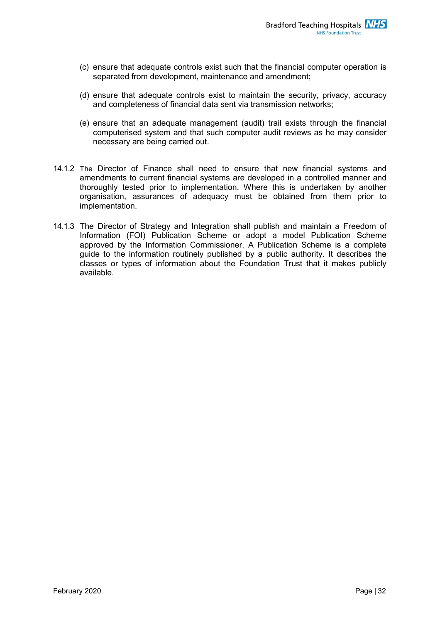- (c) ensure that adequate controls exist such that the financial computer operation is separated from development, maintenance and amendment;
- (d) ensure that adequate controls exist to maintain the security, privacy, accuracy and completeness of financial data sent via transmission networks;
- (e) ensure that an adequate management (audit) trail exists through the financial computerised system and that such computer audit reviews as he may consider necessary are being carried out.
- 14.1.2 The Director of Finance shall need to ensure that new financial systems and amendments to current financial systems are developed in a controlled manner and thoroughly tested prior to implementation. Where this is undertaken by another organisation, assurances of adequacy must be obtained from them prior to implementation.
- 14.1.3 The Director of Strategy and Integration shall publish and maintain a Freedom of Information (FOI) Publication Scheme or adopt a model Publication Scheme approved by the Information Commissioner. A Publication Scheme is a complete guide to the information routinely published by a public authority. It describes the classes or types of information about the Foundation Trust that it makes publicly available.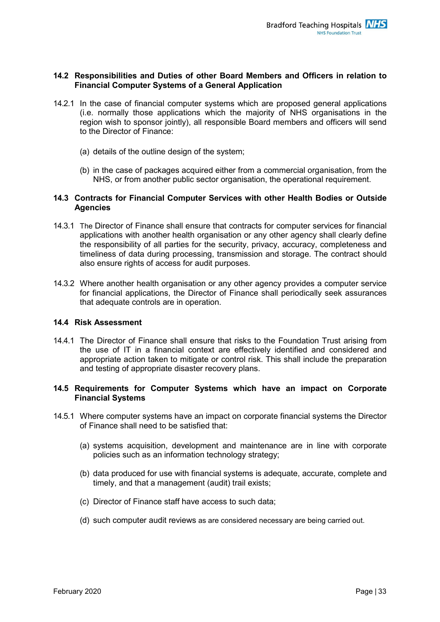#### **14.2 Responsibilities and Duties of other Board Members and Officers in relation to Financial Computer Systems of a General Application**

- 14.2.1 In the case of financial computer systems which are proposed general applications (i.e. normally those applications which the majority of NHS organisations in the region wish to sponsor jointly), all responsible Board members and officers will send to the Director of Finance:
	- (a) details of the outline design of the system;
	- (b) in the case of packages acquired either from a commercial organisation, from the NHS, or from another public sector organisation, the operational requirement.

#### **14.3 Contracts for Financial Computer Services with other Health Bodies or Outside Agencies**

- 14.3.1 The Director of Finance shall ensure that contracts for computer services for financial applications with another health organisation or any other agency shall clearly define the responsibility of all parties for the security, privacy, accuracy, completeness and timeliness of data during processing, transmission and storage. The contract should also ensure rights of access for audit purposes.
- 14.3.2 Where another health organisation or any other agency provides a computer service for financial applications, the Director of Finance shall periodically seek assurances that adequate controls are in operation.

#### **14.4 Risk Assessment**

14.4.1 The Director of Finance shall ensure that risks to the Foundation Trust arising from the use of IT in a financial context are effectively identified and considered and appropriate action taken to mitigate or control risk. This shall include the preparation and testing of appropriate disaster recovery plans.

#### **14.5 Requirements for Computer Systems which have an impact on Corporate Financial Systems**

- 14.5.1 Where computer systems have an impact on corporate financial systems the Director of Finance shall need to be satisfied that:
	- (a) systems acquisition, development and maintenance are in line with corporate policies such as an information technology strategy;
	- (b) data produced for use with financial systems is adequate, accurate, complete and timely, and that a management (audit) trail exists;
	- (c) Director of Finance staff have access to such data;
	- (d) such computer audit reviews as are considered necessary are being carried out.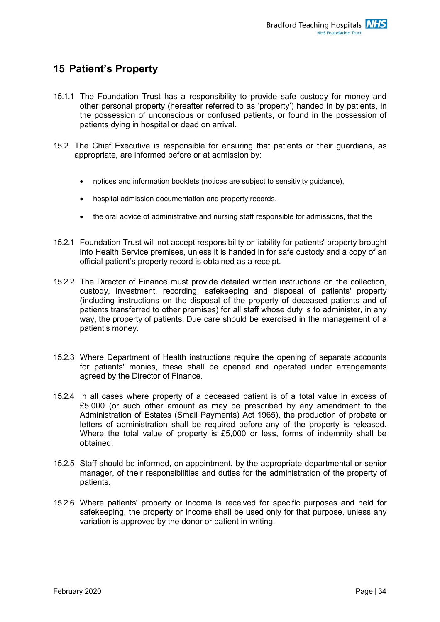# <span id="page-34-0"></span>**15 Patient's Property**

- 15.1.1 The Foundation Trust has a responsibility to provide safe custody for money and other personal property (hereafter referred to as 'property') handed in by patients, in the possession of unconscious or confused patients, or found in the possession of patients dying in hospital or dead on arrival.
- 15.2 The Chief Executive is responsible for ensuring that patients or their guardians, as appropriate, are informed before or at admission by:
	- notices and information booklets (notices are subject to sensitivity guidance),
	- hospital admission documentation and property records,
	- the oral advice of administrative and nursing staff responsible for admissions, that the
- 15.2.1 Foundation Trust will not accept responsibility or liability for patients' property brought into Health Service premises, unless it is handed in for safe custody and a copy of an official patient's property record is obtained as a receipt.
- 15.2.2 The Director of Finance must provide detailed written instructions on the collection, custody, investment, recording, safekeeping and disposal of patients' property (including instructions on the disposal of the property of deceased patients and of patients transferred to other premises) for all staff whose duty is to administer, in any way, the property of patients. Due care should be exercised in the management of a patient's money.
- 15.2.3 Where Department of Health instructions require the opening of separate accounts for patients' monies, these shall be opened and operated under arrangements agreed by the Director of Finance.
- 15.2.4 In all cases where property of a deceased patient is of a total value in excess of £5,000 (or such other amount as may be prescribed by any amendment to the Administration of Estates (Small Payments) Act 1965), the production of probate or letters of administration shall be required before any of the property is released. Where the total value of property is £5,000 or less, forms of indemnity shall be obtained.
- 15.2.5 Staff should be informed, on appointment, by the appropriate departmental or senior manager, of their responsibilities and duties for the administration of the property of patients.
- 15.2.6 Where patients' property or income is received for specific purposes and held for safekeeping, the property or income shall be used only for that purpose, unless any variation is approved by the donor or patient in writing.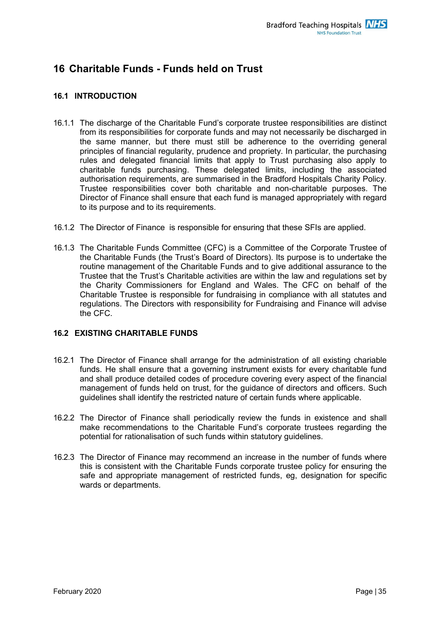# <span id="page-35-0"></span>**16 Charitable Funds - Funds held on Trust**

#### **16.1 INTRODUCTION**

- 16.1.1 The discharge of the Charitable Fund's corporate trustee responsibilities are distinct from its responsibilities for corporate funds and may not necessarily be discharged in the same manner, but there must still be adherence to the overriding general principles of financial regularity, prudence and propriety. In particular, the purchasing rules and delegated financial limits that apply to Trust purchasing also apply to charitable funds purchasing. These delegated limits, including the associated authorisation requirements, are summarised in the Bradford Hospitals Charity Policy. Trustee responsibilities cover both charitable and non-charitable purposes. The Director of Finance shall ensure that each fund is managed appropriately with regard to its purpose and to its requirements.
- 16.1.2 The Director of Finance is responsible for ensuring that these SFIs are applied.
- 16.1.3 The Charitable Funds Committee (CFC) is a Committee of the Corporate Trustee of the Charitable Funds (the Trust's Board of Directors). Its purpose is to undertake the routine management of the Charitable Funds and to give additional assurance to the Trustee that the Trust's Charitable activities are within the law and regulations set by the Charity Commissioners for England and Wales. The CFC on behalf of the Charitable Trustee is responsible for fundraising in compliance with all statutes and regulations. The Directors with responsibility for Fundraising and Finance will advise the CFC.

#### **16.2 EXISTING CHARITABLE FUNDS**

- 16.2.1 The Director of Finance shall arrange for the administration of all existing chariable funds. He shall ensure that a governing instrument exists for every charitable fund and shall produce detailed codes of procedure covering every aspect of the financial management of funds held on trust, for the guidance of directors and officers. Such guidelines shall identify the restricted nature of certain funds where applicable.
- 16.2.2 The Director of Finance shall periodically review the funds in existence and shall make recommendations to the Charitable Fund's corporate trustees regarding the potential for rationalisation of such funds within statutory guidelines.
- 16.2.3 The Director of Finance may recommend an increase in the number of funds where this is consistent with the Charitable Funds corporate trustee policy for ensuring the safe and appropriate management of restricted funds, eg, designation for specific wards or departments.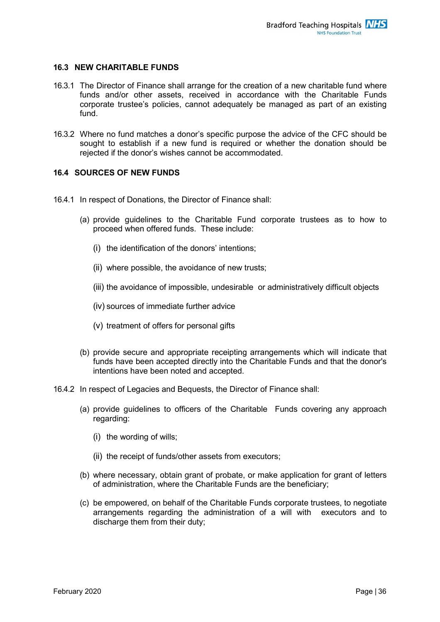#### **16.3 NEW CHARITABLE FUNDS**

- 16.3.1 The Director of Finance shall arrange for the creation of a new charitable fund where funds and/or other assets, received in accordance with the Charitable Funds corporate trustee's policies, cannot adequately be managed as part of an existing fund.
- 16.3.2 Where no fund matches a donor's specific purpose the advice of the CFC should be sought to establish if a new fund is required or whether the donation should be rejected if the donor's wishes cannot be accommodated.

#### **16.4 SOURCES OF NEW FUNDS**

- 16.4.1 In respect of Donations, the Director of Finance shall:
	- (a) provide guidelines to the Charitable Fund corporate trustees as to how to proceed when offered funds. These include:
		- (i) the identification of the donors' intentions;
		- (ii) where possible, the avoidance of new trusts;
		- (iii) the avoidance of impossible, undesirable or administratively difficult objects
		- (iv) sources of immediate further advice
		- (v) treatment of offers for personal gifts
	- (b) provide secure and appropriate receipting arrangements which will indicate that funds have been accepted directly into the Charitable Funds and that the donor's intentions have been noted and accepted.
- 16.4.2 In respect of Legacies and Bequests, the Director of Finance shall:
	- (a) provide guidelines to officers of the Charitable Funds covering any approach regarding:
		- (i) the wording of wills;
		- (ii) the receipt of funds/other assets from executors;
	- (b) where necessary, obtain grant of probate, or make application for grant of letters of administration, where the Charitable Funds are the beneficiary;
	- (c) be empowered, on behalf of the Charitable Funds corporate trustees, to negotiate arrangements regarding the administration of a will with executors and to discharge them from their duty;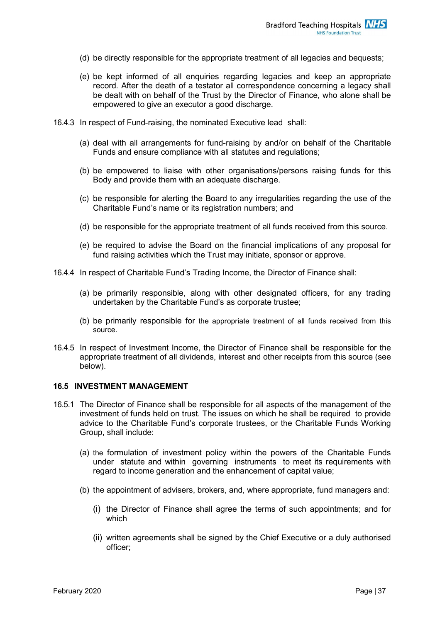- (d) be directly responsible for the appropriate treatment of all legacies and bequests;
- (e) be kept informed of all enquiries regarding legacies and keep an appropriate record. After the death of a testator all correspondence concerning a legacy shall be dealt with on behalf of the Trust by the Director of Finance, who alone shall be empowered to give an executor a good discharge.
- 16.4.3 In respect of Fund-raising, the nominated Executive lead shall:
	- (a) deal with all arrangements for fund-raising by and/or on behalf of the Charitable Funds and ensure compliance with all statutes and regulations;
	- (b) be empowered to liaise with other organisations/persons raising funds for this Body and provide them with an adequate discharge.
	- (c) be responsible for alerting the Board to any irregularities regarding the use of the Charitable Fund's name or its registration numbers; and
	- (d) be responsible for the appropriate treatment of all funds received from this source.
	- (e) be required to advise the Board on the financial implications of any proposal for fund raising activities which the Trust may initiate, sponsor or approve.
- 16.4.4 In respect of Charitable Fund's Trading Income, the Director of Finance shall:
	- (a) be primarily responsible, along with other designated officers, for any trading undertaken by the Charitable Fund's as corporate trustee;
	- (b) be primarily responsible for the appropriate treatment of all funds received from this source.
- 16.4.5 In respect of Investment Income, the Director of Finance shall be responsible for the appropriate treatment of all dividends, interest and other receipts from this source (see below).

#### **16.5 INVESTMENT MANAGEMENT**

- 16.5.1 The Director of Finance shall be responsible for all aspects of the management of the investment of funds held on trust. The issues on which he shall be required to provide advice to the Charitable Fund's corporate trustees, or the Charitable Funds Working Group, shall include:
	- (a) the formulation of investment policy within the powers of the Charitable Funds under statute and within governing instruments to meet its requirements with regard to income generation and the enhancement of capital value;
	- (b) the appointment of advisers, brokers, and, where appropriate, fund managers and:
		- (i) the Director of Finance shall agree the terms of such appointments; and for which
		- (ii) written agreements shall be signed by the Chief Executive or a duly authorised officer;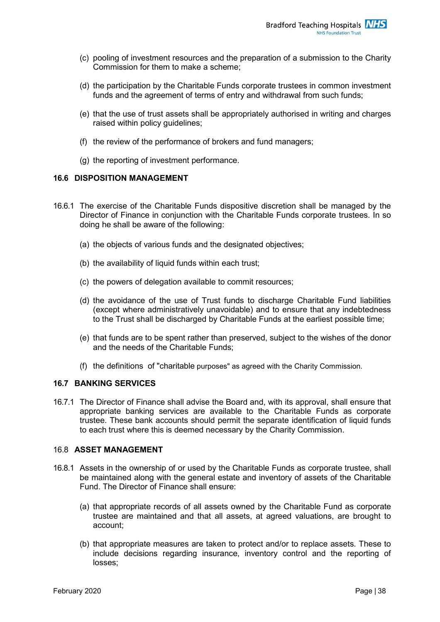- (c) pooling of investment resources and the preparation of a submission to the Charity Commission for them to make a scheme;
- (d) the participation by the Charitable Funds corporate trustees in common investment funds and the agreement of terms of entry and withdrawal from such funds;
- (e) that the use of trust assets shall be appropriately authorised in writing and charges raised within policy guidelines;
- (f) the review of the performance of brokers and fund managers;
- (g) the reporting of investment performance.

#### **16.6 DISPOSITION MANAGEMENT**

- 16.6.1 The exercise of the Charitable Funds dispositive discretion shall be managed by the Director of Finance in conjunction with the Charitable Funds corporate trustees. In so doing he shall be aware of the following:
	- (a) the objects of various funds and the designated objectives;
	- (b) the availability of liquid funds within each trust;
	- (c) the powers of delegation available to commit resources;
	- (d) the avoidance of the use of Trust funds to discharge Charitable Fund liabilities (except where administratively unavoidable) and to ensure that any indebtedness to the Trust shall be discharged by Charitable Funds at the earliest possible time;
	- (e) that funds are to be spent rather than preserved, subject to the wishes of the donor and the needs of the Charitable Funds;
	- (f) the definitions of "charitable purposes" as agreed with the Charity Commission.

#### **16.7 BANKING SERVICES**

16.7.1 The Director of Finance shall advise the Board and, with its approval, shall ensure that appropriate banking services are available to the Charitable Funds as corporate trustee. These bank accounts should permit the separate identification of liquid funds to each trust where this is deemed necessary by the Charity Commission.

#### 16.8 **ASSET MANAGEMENT**

- 16.8.1 Assets in the ownership of or used by the Charitable Funds as corporate trustee, shall be maintained along with the general estate and inventory of assets of the Charitable Fund. The Director of Finance shall ensure:
	- (a) that appropriate records of all assets owned by the Charitable Fund as corporate trustee are maintained and that all assets, at agreed valuations, are brought to account;
	- (b) that appropriate measures are taken to protect and/or to replace assets. These to include decisions regarding insurance, inventory control and the reporting of losses;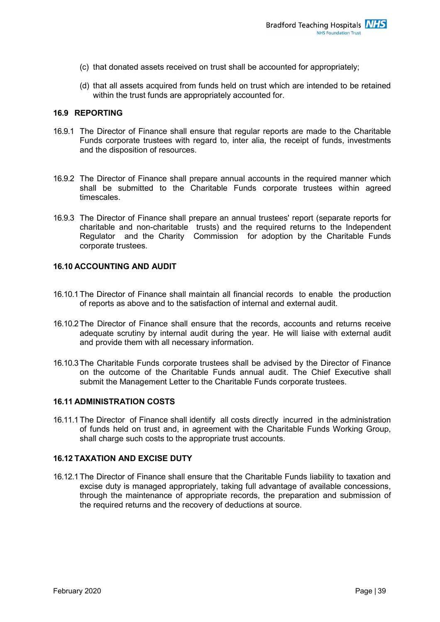- (c) that donated assets received on trust shall be accounted for appropriately;
- (d) that all assets acquired from funds held on trust which are intended to be retained within the trust funds are appropriately accounted for.

#### **16.9 REPORTING**

- 16.9.1 The Director of Finance shall ensure that regular reports are made to the Charitable Funds corporate trustees with regard to, inter alia, the receipt of funds, investments and the disposition of resources.
- 16.9.2 The Director of Finance shall prepare annual accounts in the required manner which shall be submitted to the Charitable Funds corporate trustees within agreed timescales.
- 16.9.3 The Director of Finance shall prepare an annual trustees' report (separate reports for charitable and non-charitable trusts) and the required returns to the Independent Regulator and the Charity Commission for adoption by the Charitable Funds corporate trustees.

#### **16.10 ACCOUNTING AND AUDIT**

- 16.10.1The Director of Finance shall maintain all financial records to enable the production of reports as above and to the satisfaction of internal and external audit.
- 16.10.2The Director of Finance shall ensure that the records, accounts and returns receive adequate scrutiny by internal audit during the year. He will liaise with external audit and provide them with all necessary information.
- 16.10.3The Charitable Funds corporate trustees shall be advised by the Director of Finance on the outcome of the Charitable Funds annual audit. The Chief Executive shall submit the Management Letter to the Charitable Funds corporate trustees.

#### **16.11 ADMINISTRATION COSTS**

16.11.1The Director of Finance shall identify all costs directly incurred in the administration of funds held on trust and, in agreement with the Charitable Funds Working Group, shall charge such costs to the appropriate trust accounts.

#### **16.12 TAXATION AND EXCISE DUTY**

16.12.1The Director of Finance shall ensure that the Charitable Funds liability to taxation and excise duty is managed appropriately, taking full advantage of available concessions, through the maintenance of appropriate records, the preparation and submission of the required returns and the recovery of deductions at source.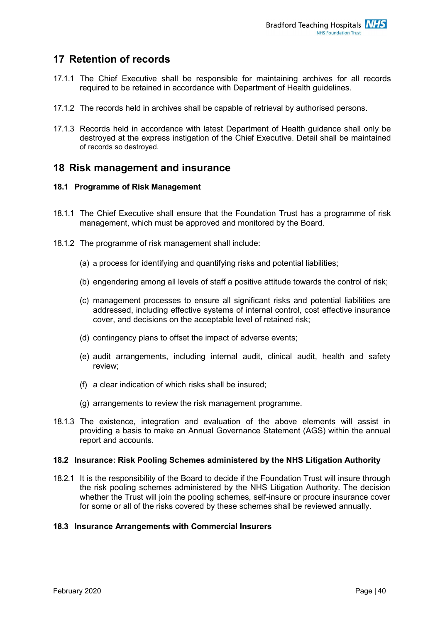# <span id="page-40-0"></span>**17 Retention of records**

- 17.1.1 The Chief Executive shall be responsible for maintaining archives for all records required to be retained in accordance with Department of Health guidelines.
- 17.1.2 The records held in archives shall be capable of retrieval by authorised persons.
- 17.1.3 Records held in accordance with latest Department of Health guidance shall only be destroyed at the express instigation of the Chief Executive. Detail shall be maintained of records so destroyed.

## <span id="page-40-1"></span>**18 Risk management and insurance**

#### **18.1 Programme of Risk Management**

- 18.1.1 The Chief Executive shall ensure that the Foundation Trust has a programme of risk management, which must be approved and monitored by the Board.
- 18.1.2 The programme of risk management shall include:
	- (a) a process for identifying and quantifying risks and potential liabilities;
	- (b) engendering among all levels of staff a positive attitude towards the control of risk;
	- (c) management processes to ensure all significant risks and potential liabilities are addressed, including effective systems of internal control, cost effective insurance cover, and decisions on the acceptable level of retained risk;
	- (d) contingency plans to offset the impact of adverse events;
	- (e) audit arrangements, including internal audit, clinical audit, health and safety review;
	- (f) a clear indication of which risks shall be insured;
	- (g) arrangements to review the risk management programme.
- 18.1.3 The existence, integration and evaluation of the above elements will assist in providing a basis to make an Annual Governance Statement (AGS) within the annual report and accounts.

#### **18.2 Insurance: Risk Pooling Schemes administered by the NHS Litigation Authority**

18.2.1 It is the responsibility of the Board to decide if the Foundation Trust will insure through the risk pooling schemes administered by the NHS Litigation Authority. The decision whether the Trust will join the pooling schemes, self-insure or procure insurance cover for some or all of the risks covered by these schemes shall be reviewed annually.

#### **18.3 Insurance Arrangements with Commercial Insurers**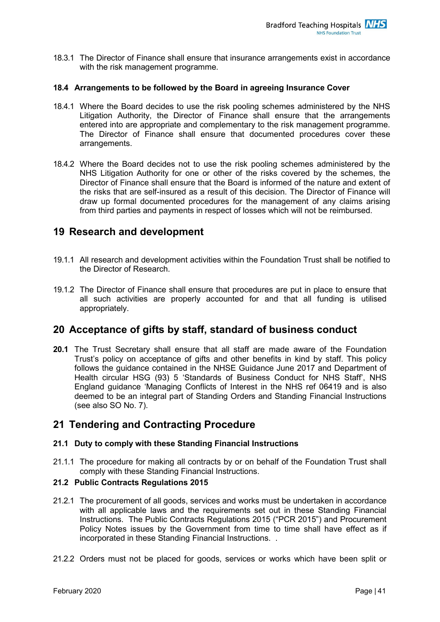18.3.1 The Director of Finance shall ensure that insurance arrangements exist in accordance with the risk management programme.

#### **18.4 Arrangements to be followed by the Board in agreeing Insurance Cover**

- 18.4.1 Where the Board decides to use the risk pooling schemes administered by the NHS Litigation Authority, the Director of Finance shall ensure that the arrangements entered into are appropriate and complementary to the risk management programme. The Director of Finance shall ensure that documented procedures cover these arrangements.
- 18.4.2 Where the Board decides not to use the risk pooling schemes administered by the NHS Litigation Authority for one or other of the risks covered by the schemes, the Director of Finance shall ensure that the Board is informed of the nature and extent of the risks that are self-insured as a result of this decision. The Director of Finance will draw up formal documented procedures for the management of any claims arising from third parties and payments in respect of losses which will not be reimbursed.

## <span id="page-41-0"></span>**19 Research and development**

- 19.1.1 All research and development activities within the Foundation Trust shall be notified to the Director of Research.
- 19.1.2 The Director of Finance shall ensure that procedures are put in place to ensure that all such activities are properly accounted for and that all funding is utilised appropriately.

## <span id="page-41-1"></span>**20 Acceptance of gifts by staff, standard of business conduct**

**20.1** The Trust Secretary shall ensure that all staff are made aware of the Foundation Trust's policy on acceptance of gifts and other benefits in kind by staff. This policy follows the guidance contained in the NHSE Guidance June 2017 and Department of Health circular HSG (93) 5 'Standards of Business Conduct for NHS Staff', NHS England guidance 'Managing Conflicts of Interest in the NHS ref 06419 and is also deemed to be an integral part of Standing Orders and Standing Financial Instructions (see also SO No. 7).

## <span id="page-41-2"></span>**21 Tendering and Contracting Procedure**

#### **21.1 Duty to comply with these Standing Financial Instructions**

21.1.1 The procedure for making all contracts by or on behalf of the Foundation Trust shall comply with these Standing Financial Instructions.

#### **21.2 Public Contracts Regulations 2015**

- 21.2.1 The procurement of all goods, services and works must be undertaken in accordance with all applicable laws and the requirements set out in these Standing Financial Instructions. The Public Contracts Regulations 2015 ("PCR 2015") and Procurement Policy Notes issues by the Government from time to time shall have effect as if incorporated in these Standing Financial Instructions. .
- 21.2.2 Orders must not be placed for goods, services or works which have been split or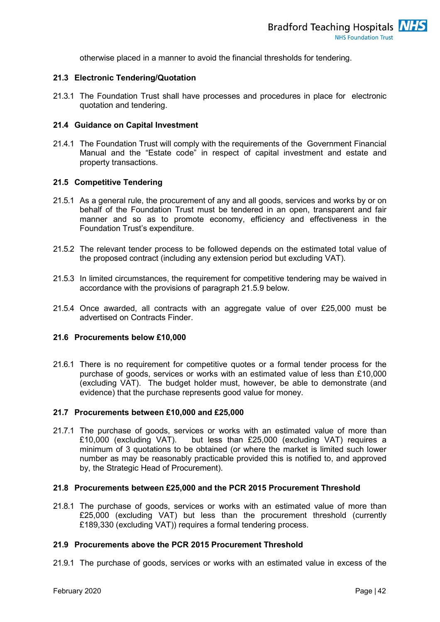otherwise placed in a manner to avoid the financial thresholds for tendering.

#### **21.3 Electronic Tendering/Quotation**

21.3.1 The Foundation Trust shall have processes and procedures in place for electronic quotation and tendering.

#### **21.4 Guidance on Capital Investment**

21.4.1 The Foundation Trust will comply with the requirements of the Government Financial Manual and the "Estate code" in respect of capital investment and estate and property transactions.

#### **21.5 Competitive Tendering**

- 21.5.1 As a general rule, the procurement of any and all goods, services and works by or on behalf of the Foundation Trust must be tendered in an open, transparent and fair manner and so as to promote economy, efficiency and effectiveness in the Foundation Trust's expenditure.
- 21.5.2 The relevant tender process to be followed depends on the estimated total value of the proposed contract (including any extension period but excluding VAT).
- 21.5.3 In limited circumstances, the requirement for competitive tendering may be waived in accordance with the provisions of paragraph 21.5.9 below.
- 21.5.4 Once awarded, all contracts with an aggregate value of over £25,000 must be advertised on Contracts Finder.

#### **21.6 Procurements below £10,000**

21.6.1 There is no requirement for competitive quotes or a formal tender process for the purchase of goods, services or works with an estimated value of less than £10,000 (excluding VAT). The budget holder must, however, be able to demonstrate (and evidence) that the purchase represents good value for money.

#### **21.7 Procurements between £10,000 and £25,000**

21.7.1 The purchase of goods, services or works with an estimated value of more than £10,000 (excluding VAT). but less than £25,000 (excluding VAT) requires a minimum of 3 quotations to be obtained (or where the market is limited such lower number as may be reasonably practicable provided this is notified to, and approved by, the Strategic Head of Procurement).

#### **21.8 Procurements between £25,000 and the PCR 2015 Procurement Threshold**

21.8.1 The purchase of goods, services or works with an estimated value of more than £25,000 (excluding VAT) but less than the procurement threshold (currently £189,330 (excluding VAT)) requires a formal tendering process.

#### **21.9 Procurements above the PCR 2015 Procurement Threshold**

21.9.1 The purchase of goods, services or works with an estimated value in excess of the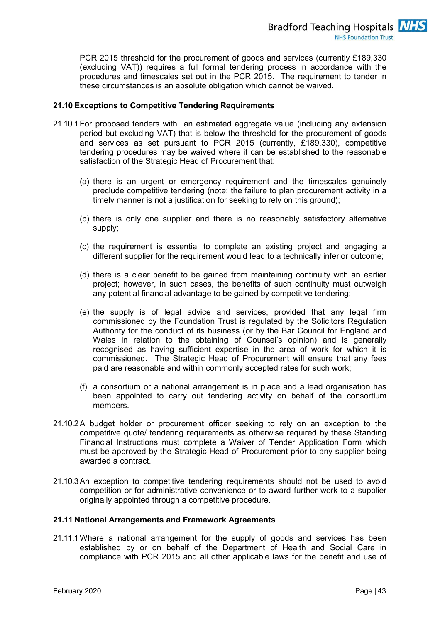PCR 2015 threshold for the procurement of goods and services (currently £189,330 (excluding VAT)) requires a full formal tendering process in accordance with the procedures and timescales set out in the PCR 2015. The requirement to tender in these circumstances is an absolute obligation which cannot be waived.

#### **21.10 Exceptions to Competitive Tendering Requirements**

- 21.10.1For proposed tenders with an estimated aggregate value (including any extension period but excluding VAT) that is below the threshold for the procurement of goods and services as set pursuant to PCR 2015 (currently, £189,330), competitive tendering procedures may be waived where it can be established to the reasonable satisfaction of the Strategic Head of Procurement that:
	- (a) there is an urgent or emergency requirement and the timescales genuinely preclude competitive tendering (note: the failure to plan procurement activity in a timely manner is not a justification for seeking to rely on this ground);
	- (b) there is only one supplier and there is no reasonably satisfactory alternative supply;
	- (c) the requirement is essential to complete an existing project and engaging a different supplier for the requirement would lead to a technically inferior outcome;
	- (d) there is a clear benefit to be gained from maintaining continuity with an earlier project; however, in such cases, the benefits of such continuity must outweigh any potential financial advantage to be gained by competitive tendering;
	- (e) the supply is of legal advice and services, provided that any legal firm commissioned by the Foundation Trust is regulated by the Solicitors Regulation Authority for the conduct of its business (or by the Bar Council for England and Wales in relation to the obtaining of Counsel's opinion) and is generally recognised as having sufficient expertise in the area of work for which it is commissioned. The Strategic Head of Procurement will ensure that any fees paid are reasonable and within commonly accepted rates for such work;
	- (f) a consortium or a national arrangement is in place and a lead organisation has been appointed to carry out tendering activity on behalf of the consortium members.
- 21.10.2A budget holder or procurement officer seeking to rely on an exception to the competitive quote/ tendering requirements as otherwise required by these Standing Financial Instructions must complete a Waiver of Tender Application Form which must be approved by the Strategic Head of Procurement prior to any supplier being awarded a contract.
- 21.10.3An exception to competitive tendering requirements should not be used to avoid competition or for administrative convenience or to award further work to a supplier originally appointed through a competitive procedure.

#### **21.11 National Arrangements and Framework Agreements**

21.11.1Where a national arrangement for the supply of goods and services has been established by or on behalf of the Department of Health and Social Care in compliance with PCR 2015 and all other applicable laws for the benefit and use of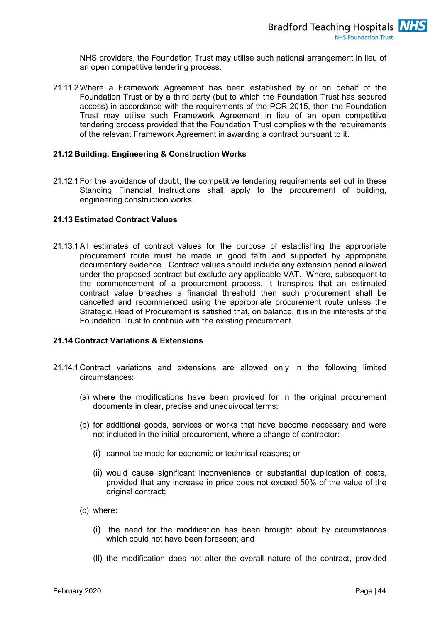NHS providers, the Foundation Trust may utilise such national arrangement in lieu of an open competitive tendering process.

21.11.2Where a Framework Agreement has been established by or on behalf of the Foundation Trust or by a third party (but to which the Foundation Trust has secured access) in accordance with the requirements of the PCR 2015, then the Foundation Trust may utilise such Framework Agreement in lieu of an open competitive tendering process provided that the Foundation Trust complies with the requirements of the relevant Framework Agreement in awarding a contract pursuant to it.

#### **21.12 Building, Engineering & Construction Works**

21.12.1For the avoidance of doubt, the competitive tendering requirements set out in these Standing Financial Instructions shall apply to the procurement of building, engineering construction works.

#### **21.13 Estimated Contract Values**

21.13.1All estimates of contract values for the purpose of establishing the appropriate procurement route must be made in good faith and supported by appropriate documentary evidence. Contract values should include any extension period allowed under the proposed contract but exclude any applicable VAT. Where, subsequent to the commencement of a procurement process, it transpires that an estimated contract value breaches a financial threshold then such procurement shall be cancelled and recommenced using the appropriate procurement route unless the Strategic Head of Procurement is satisfied that, on balance, it is in the interests of the Foundation Trust to continue with the existing procurement.

#### **21.14 Contract Variations & Extensions**

- 21.14.1Contract variations and extensions are allowed only in the following limited circumstances:
	- (a) where the modifications have been provided for in the original procurement documents in clear, precise and unequivocal terms;
	- (b) for additional goods, services or works that have become necessary and were not included in the initial procurement, where a change of contractor:
		- (i) cannot be made for economic or technical reasons; or
		- (ii) would cause significant inconvenience or substantial duplication of costs, provided that any increase in price does not exceed 50% of the value of the original contract;
	- (c) where:
		- (i) the need for the modification has been brought about by circumstances which could not have been foreseen; and
		- (ii) the modification does not alter the overall nature of the contract, provided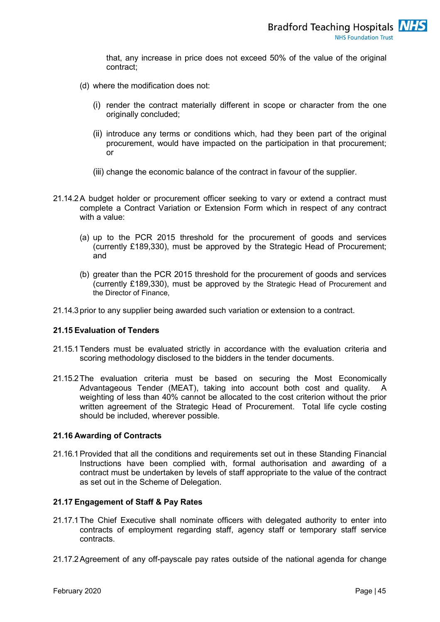that, any increase in price does not exceed 50% of the value of the original contract;

- (d) where the modification does not:
	- (i) render the contract materially different in scope or character from the one originally concluded;
	- (ii) introduce any terms or conditions which, had they been part of the original procurement, would have impacted on the participation in that procurement; or
	- (iii) change the economic balance of the contract in favour of the supplier.
- 21.14.2A budget holder or procurement officer seeking to vary or extend a contract must complete a Contract Variation or Extension Form which in respect of any contract with a value:
	- (a) up to the PCR 2015 threshold for the procurement of goods and services (currently £189,330), must be approved by the Strategic Head of Procurement; and
	- (b) greater than the PCR 2015 threshold for the procurement of goods and services (currently £189,330), must be approved by the Strategic Head of Procurement and the Director of Finance,
- 21.14.3prior to any supplier being awarded such variation or extension to a contract.

#### **21.15 Evaluation of Tenders**

- 21.15.1Tenders must be evaluated strictly in accordance with the evaluation criteria and scoring methodology disclosed to the bidders in the tender documents.
- 21.15.2The evaluation criteria must be based on securing the Most Economically Advantageous Tender (MEAT), taking into account both cost and quality. A weighting of less than 40% cannot be allocated to the cost criterion without the prior written agreement of the Strategic Head of Procurement. Total life cycle costing should be included, wherever possible.

#### **21.16 Awarding of Contracts**

21.16.1Provided that all the conditions and requirements set out in these Standing Financial Instructions have been complied with, formal authorisation and awarding of a contract must be undertaken by levels of staff appropriate to the value of the contract as set out in the Scheme of Delegation.

#### **21.17 Engagement of Staff & Pay Rates**

- 21.17.1The Chief Executive shall nominate officers with delegated authority to enter into contracts of employment regarding staff, agency staff or temporary staff service contracts.
- 21.17.2Agreement of any off-payscale pay rates outside of the national agenda for change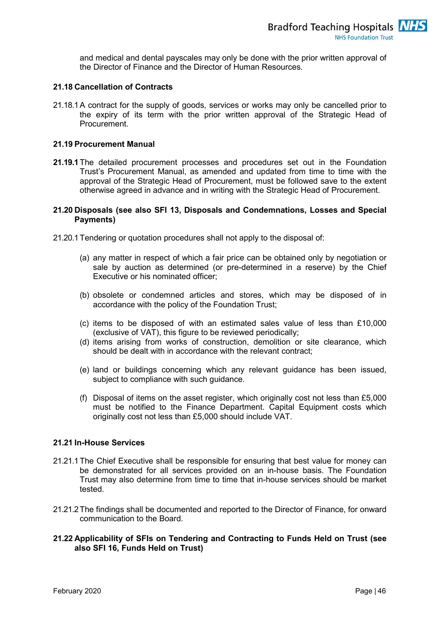and medical and dental payscales may only be done with the prior written approval of the Director of Finance and the Director of Human Resources.

#### **21.18 Cancellation of Contracts**

21.18.1A contract for the supply of goods, services or works may only be cancelled prior to the expiry of its term with the prior written approval of the Strategic Head of Procurement.

#### **21.19 Procurement Manual**

**21.19.1**The detailed procurement processes and procedures set out in the Foundation Trust's Procurement Manual, as amended and updated from time to time with the approval of the Strategic Head of Procurement, must be followed save to the extent otherwise agreed in advance and in writing with the Strategic Head of Procurement.

#### **21.20 Disposals (see also SFI 13, Disposals and Condemnations, Losses and Special Payments)**

- 21.20.1Tendering or quotation procedures shall not apply to the disposal of:
	- (a) any matter in respect of which a fair price can be obtained only by negotiation or sale by auction as determined (or pre-determined in a reserve) by the Chief Executive or his nominated officer;
	- (b) obsolete or condemned articles and stores, which may be disposed of in accordance with the policy of the Foundation Trust;
	- (c) items to be disposed of with an estimated sales value of less than £10,000 (exclusive of VAT), this figure to be reviewed periodically;
	- (d) items arising from works of construction, demolition or site clearance, which should be dealt with in accordance with the relevant contract;
	- (e) land or buildings concerning which any relevant guidance has been issued, subject to compliance with such guidance.
	- (f) Disposal of items on the asset register, which originally cost not less than £5,000 must be notified to the Finance Department. Capital Equipment costs which originally cost not less than £5,000 should include VAT.

#### **21.21 In-House Services**

- 21.21.1The Chief Executive shall be responsible for ensuring that best value for money can be demonstrated for all services provided on an in-house basis. The Foundation Trust may also determine from time to time that in-house services should be market tested.
- 21.21.2The findings shall be documented and reported to the Director of Finance, for onward communication to the Board.

#### **21.22 Applicability of SFIs on Tendering and Contracting to Funds Held on Trust (see also SFI 16, Funds Held on Trust)**